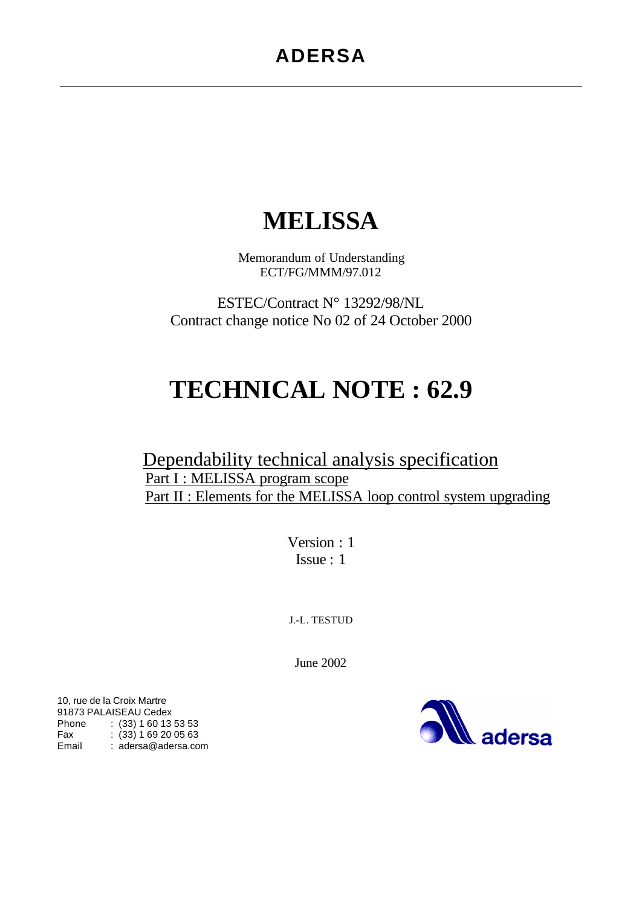# **MELISSA**

Memorandum of Understanding ECT/FG/MMM/97.012

ESTEC/Contract N° 13292/98/NL Contract change notice No 02 of 24 October 2000

# **TECHNICAL NOTE : 62.9**

# Dependability technical analysis specification Part I : MELISSA program scope Part II : Elements for the MELISSA loop control system upgrading

Version : 1 Issue : 1

J.-L. TESTUD

June 2002



10, rue de la Croix Martre 91873 PALAISEAU Cedex Phone : (33) 1 60 13 53 53 Fax : (33) 1 69 20 05 63 Email : adersa@adersa.com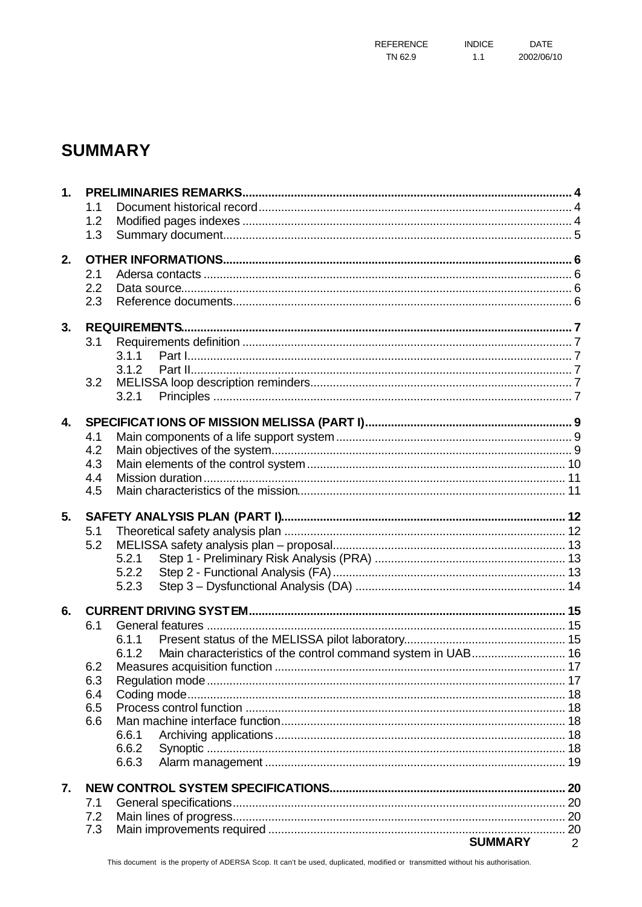# **SUMMARY**

| 1 <sub>1</sub> |            |                                                                       |                |
|----------------|------------|-----------------------------------------------------------------------|----------------|
|                | 1.1        |                                                                       |                |
|                | 1.2        |                                                                       |                |
|                | 1.3        |                                                                       |                |
| 2.             |            |                                                                       |                |
|                | 2.1        |                                                                       |                |
|                | 2.2        |                                                                       |                |
|                | 2.3        |                                                                       |                |
| 3.             |            |                                                                       |                |
|                | 3.1        |                                                                       |                |
|                |            | 3.1.1                                                                 |                |
|                |            | 3.1.2                                                                 |                |
|                | 3.2        |                                                                       |                |
|                |            | 3.2.1                                                                 |                |
| 4.             |            |                                                                       |                |
|                | 4.1        |                                                                       |                |
|                | 4.2        |                                                                       |                |
|                | 4.3        |                                                                       |                |
|                | 4.4        |                                                                       |                |
|                | 4.5        |                                                                       |                |
| 5.             |            |                                                                       |                |
|                | 5.1        |                                                                       |                |
|                | 5.2        |                                                                       |                |
|                |            | 5.2.1                                                                 |                |
|                |            | 5.2.2                                                                 |                |
|                |            | 5.2.3                                                                 |                |
| 6.             |            |                                                                       |                |
|                | 6.1        |                                                                       |                |
|                |            | 6.1.1                                                                 |                |
|                |            | Main characteristics of the control command system in UAB 16<br>6.1.2 |                |
|                | 6.2        |                                                                       |                |
|                | 6.3        |                                                                       |                |
|                | 6.4        |                                                                       |                |
|                | 6.5<br>6.6 |                                                                       |                |
|                |            | 6.6.1                                                                 |                |
|                |            | 6.6.2                                                                 |                |
|                |            | 6.6.3                                                                 |                |
| 7.             |            |                                                                       |                |
|                | 7.1        |                                                                       |                |
|                | 7.2        |                                                                       |                |
|                | 7.3        |                                                                       |                |
|                |            | <b>SUMMARY</b>                                                        | $\overline{2}$ |

This document is the property of ADERSA Scop. It can't be used, duplicated, modified or transmitted without his authorisation.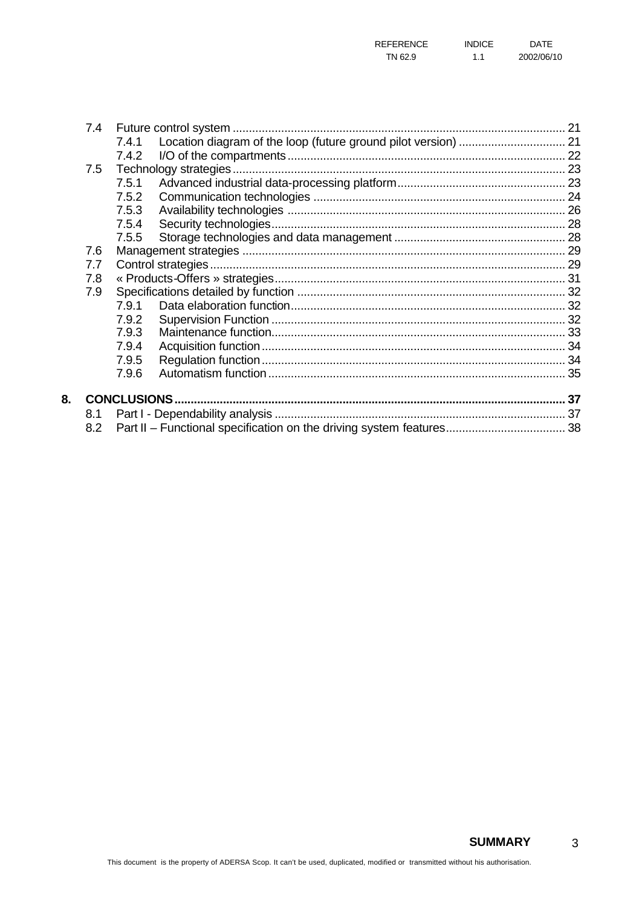| 7.4 |       |  |
|-----|-------|--|
|     | 7.4.1 |  |
|     | 7.4.2 |  |
| 7.5 |       |  |
|     | 7.5.1 |  |
|     | 7.5.2 |  |
|     | 7.5.3 |  |
|     | 7.5.4 |  |
|     | 7.5.5 |  |
| 7.6 |       |  |
| 7.7 |       |  |
| 7.8 |       |  |
| 7.9 |       |  |
|     | 7.9.1 |  |
|     | 7.9.2 |  |
|     | 7.9.3 |  |
|     | 7.9.4 |  |
|     | 7.9.5 |  |
|     | 7.9.6 |  |
|     |       |  |
|     |       |  |
| 8.1 |       |  |
| 8.2 |       |  |

8.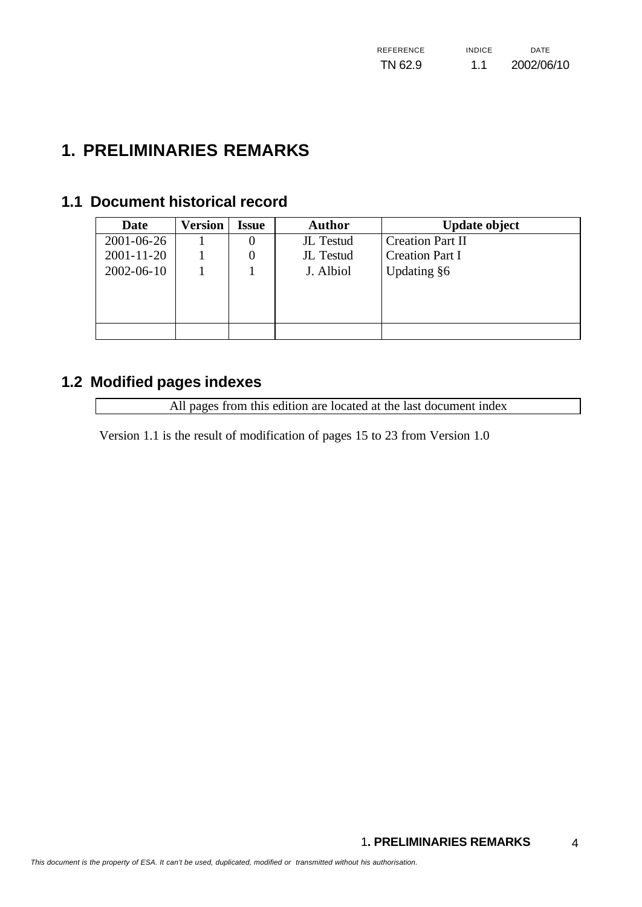# **1. PRELIMINARIES REMARKS**

# **1.1 Document historical record**

| <b>Date</b>      | Version | <b>Issue</b>     | <b>Author</b> | <b>Update object</b>    |
|------------------|---------|------------------|---------------|-------------------------|
| 2001-06-26       |         | 0                | JL Testud     | <b>Creation Part II</b> |
| $2001 - 11 - 20$ |         | $\boldsymbol{0}$ | JL Testud     | <b>Creation Part I</b>  |
| 2002-06-10       |         |                  | J. Albiol     | Updating §6             |
|                  |         |                  |               |                         |
|                  |         |                  |               |                         |
|                  |         |                  |               |                         |
|                  |         |                  |               |                         |

# **1.2 Modified pages indexes**

All pages from this edition are located at the last document index

Version 1.1 is the result of modification of pages 15 to 23 from Version 1.0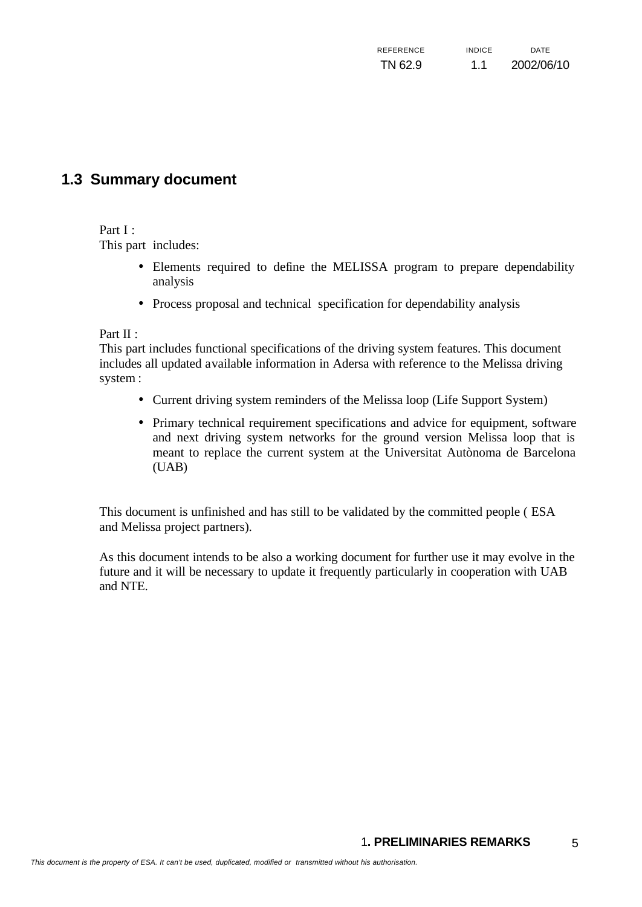# **1.3 Summary document**

#### Part I :

This part includes:

- Elements required to define the MELISSA program to prepare dependability analysis
- Process proposal and technical specification for dependability analysis

Part II :

This part includes functional specifications of the driving system features. This document includes all updated available information in Adersa with reference to the Melissa driving system :

- Current driving system reminders of the Melissa loop (Life Support System)
- Primary technical requirement specifications and advice for equipment, software and next driving system networks for the ground version Melissa loop that is meant to replace the current system at the Universitat Autònoma de Barcelona (UAB)

This document is unfinished and has still to be validated by the committed people ( ESA and Melissa project partners).

As this document intends to be also a working document for further use it may evolve in the future and it will be necessary to update it frequently particularly in cooperation with UAB and NTE.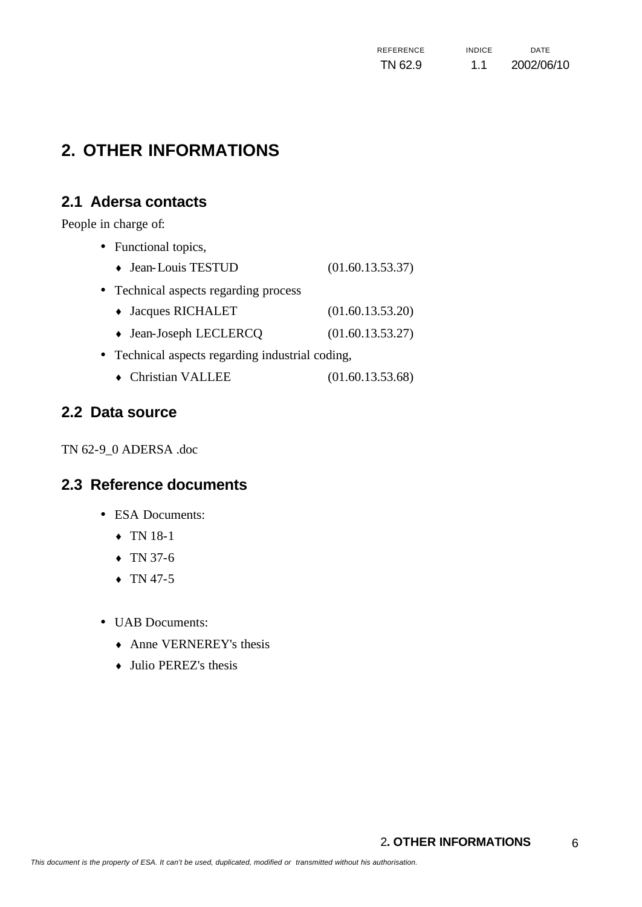| REFERENCE | <b>INDICF</b> | DATE       |
|-----------|---------------|------------|
| TN 62.9   | 1.1           | 2002/06/10 |

# **2. OTHER INFORMATIONS**

# **2.1 Adersa contacts**

People in charge of:

- Functional topics,  $\bullet$  Jean-Louis TESTUD  $(01.60.13.53.37)$ • Technical aspects regarding process ♦ Jacques RICHALET (01.60.13.53.20) ♦ Jean-Joseph LECLERCQ (01.60.13.53.27) • Technical aspects regarding industrial coding,
	- ♦ Christian VALLEE (01.60.13.53.68)

### **2.2 Data source**

TN 62-9\_0 ADERSA .doc

### **2.3 Reference documents**

- ESA Documents:
	- ♦ TN 18-1
	- $\arrow$  TN 37-6
	- $\arrow$  TN 47-5
- UAB Documents:
	- $\triangle$  Anne VERNEREY's thesis
	- $\bullet$  Julio PEREZ's thesis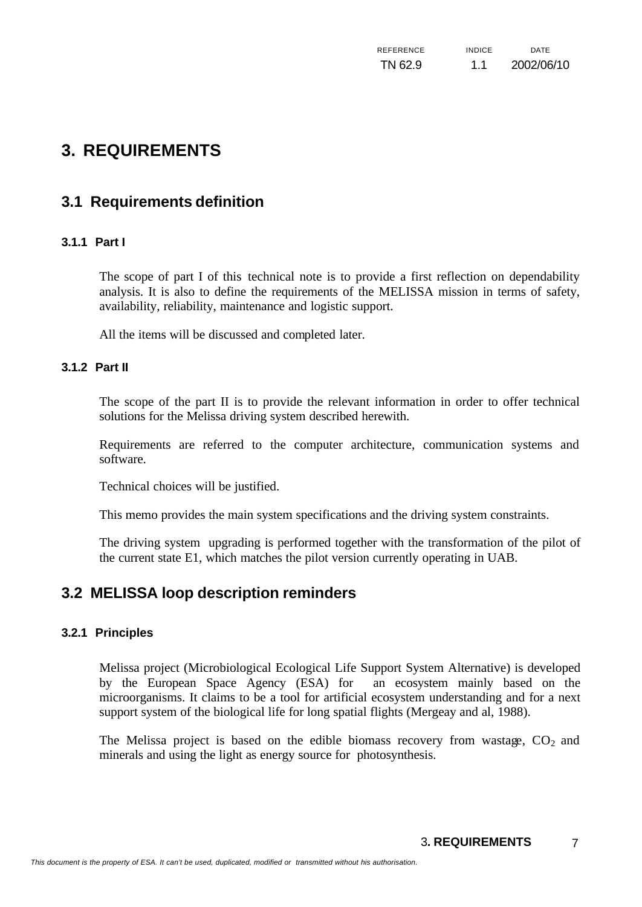| REFERENCE | <b>INDICF</b> | <b>DATE</b> |
|-----------|---------------|-------------|
| TN 62.9   | 1.1           | 2002/06/10  |

# **3. REQUIREMENTS**

# **3.1 Requirements definition**

#### **3.1.1 Part I**

The scope of part I of this technical note is to provide a first reflection on dependability analysis. It is also to define the requirements of the MELISSA mission in terms of safety, availability, reliability, maintenance and logistic support.

All the items will be discussed and completed later.

#### **3.1.2 Part II**

The scope of the part II is to provide the relevant information in order to offer technical solutions for the Melissa driving system described herewith.

Requirements are referred to the computer architecture, communication systems and software.

Technical choices will be justified.

This memo provides the main system specifications and the driving system constraints.

The driving system upgrading is performed together with the transformation of the pilot of the current state E1, which matches the pilot version currently operating in UAB.

### **3.2 MELISSA loop description reminders**

#### **3.2.1 Principles**

Melissa project (Microbiological Ecological Life Support System Alternative) is developed by the European Space Agency (ESA) for an ecosystem mainly based on the microorganisms. It claims to be a tool for artificial ecosystem understanding and for a next support system of the biological life for long spatial flights (Mergeay and al, 1988).

The Melissa project is based on the edible biomass recovery from wastage,  $CO<sub>2</sub>$  and minerals and using the light as energy source for photosynthesis.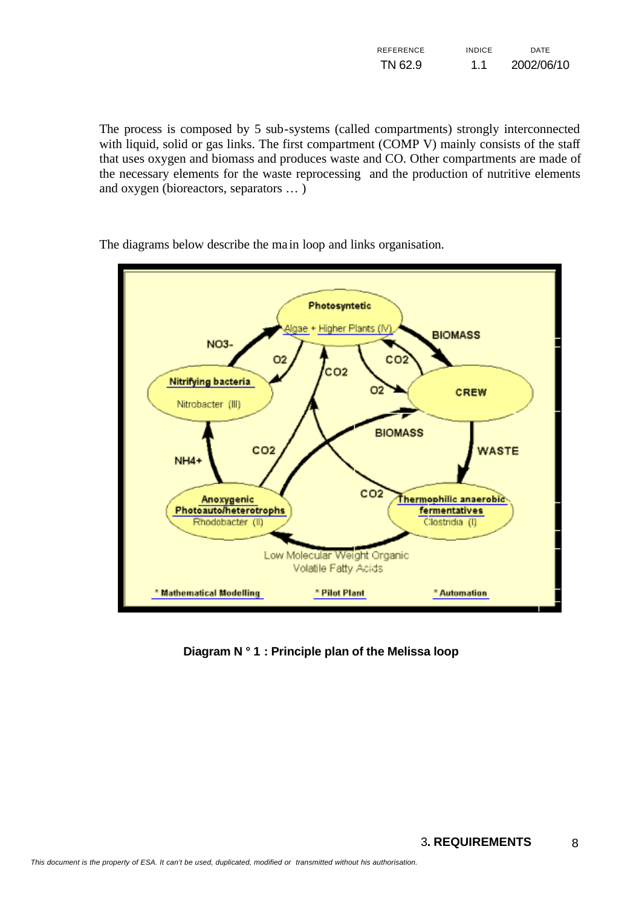| REFERENCE | <b>INDICE</b> | DATE       |
|-----------|---------------|------------|
| TN 62.9   | 1.1           | 2002/06/10 |

The process is composed by 5 sub-systems (called compartments) strongly interconnected with liquid, solid or gas links. The first compartment (COMP V) mainly consists of the staff that uses oxygen and biomass and produces waste and CO. Other compartments are made of the necessary elements for the waste reprocessing and the production of nutritive elements and oxygen (bioreactors, separators … )



The diagrams below describe the ma in loop and links organisation.

**Diagram N ° 1 : Principle plan of the Melissa loop**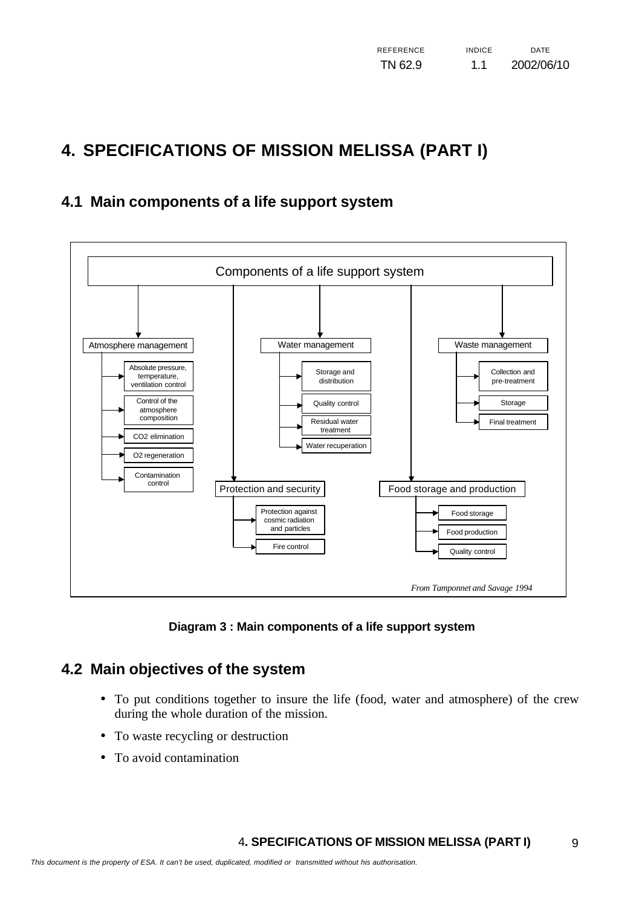# **4. SPECIFICATIONS OF MISSION MELISSA (PART I)**

# **4.1 Main components of a life support system**



**Diagram 3 : Main components of a life support system**

# **4.2 Main objectives of the system**

- To put conditions together to insure the life (food, water and atmosphere) of the crew during the whole duration of the mission.
- To waste recycling or destruction
- To avoid contamination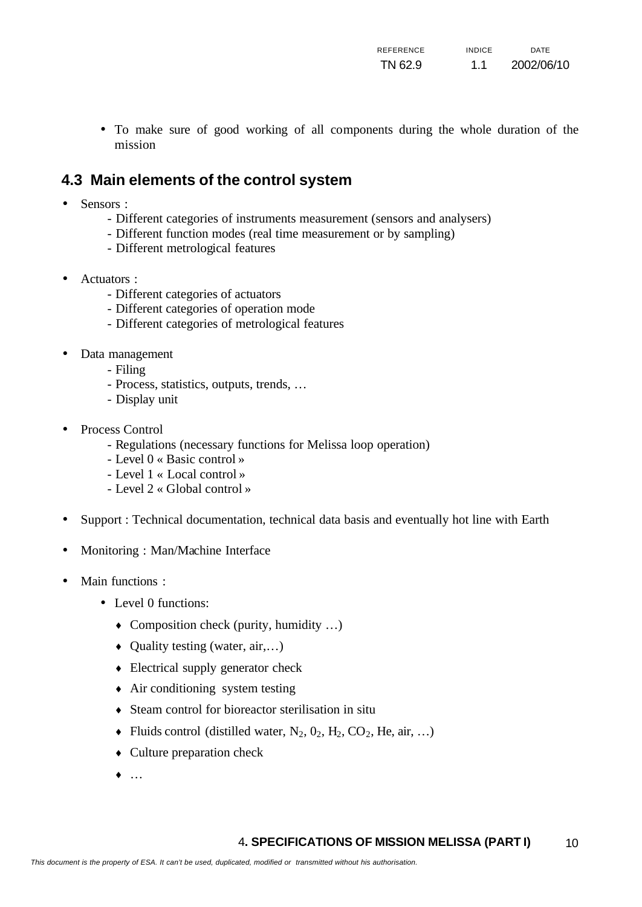• To make sure of good working of all components during the whole duration of the mission

# **4.3 Main elements of the control system**

- Sensors :
	- Different categories of instruments measurement (sensors and analysers)
	- Different function modes (real time measurement or by sampling)
	- Different metrological features
- Actuators :
	- Different categories of actuators
	- Different categories of operation mode
	- Different categories of metrological features
- Data management
	- Filing
	- Process, statistics, outputs, trends, …
	- Display unit
- Process Control
	- Regulations (necessary functions for Melissa loop operation)
	- Level 0 « Basic control »
	- Level 1 « Local control »
	- Level 2 « Global control »
- Support : Technical documentation, technical data basis and eventually hot line with Earth
- Monitoring : Man/Machine Interface
- Main functions :
	- Level 0 functions:
		- $\bullet$  Composition check (purity, humidity ...)
		- $\bullet$  Quality testing (water, air,...)
		- $\bullet$  Electrical supply generator check
		- $\triangle$  Air conditioning system testing
		- ♦ Steam control for bioreactor sterilisation in situ
		- Fluids control (distilled water,  $N_2$ ,  $0_2$ ,  $H_2$ ,  $CO_2$ , He, air, ...)
		- $\bullet$  Culture preparation check
		- $\bullet$  …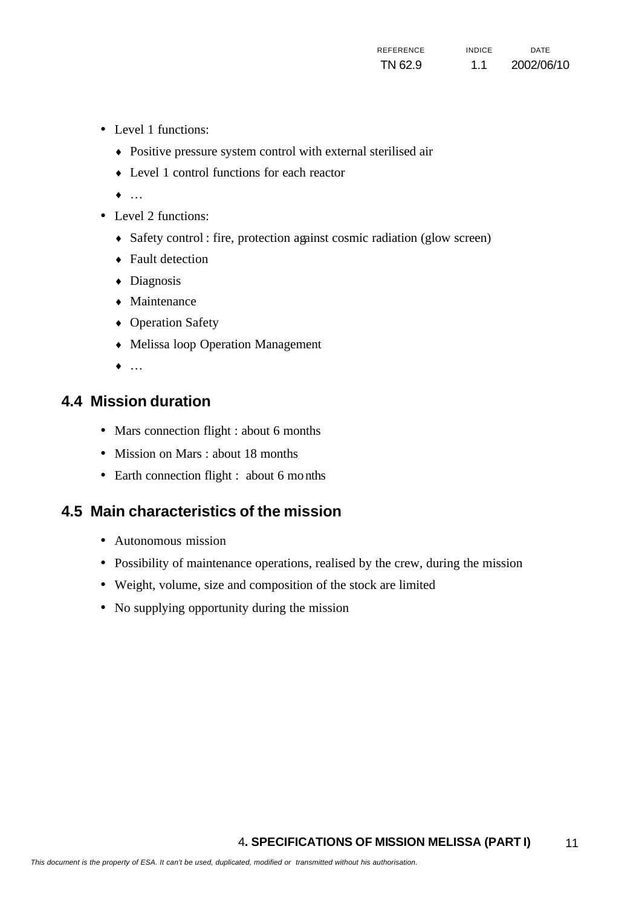- Level 1 functions:
	- ♦ Positive pressure system control with external sterilised air
	- ♦ Level 1 control functions for each reactor
	- ♦ …
- Level 2 functions:
	- Safety control : fire, protection against cosmic radiation (glow screen)
	- Fault detection
	- ♦ Diagnosis
	- Maintenance
	- Operation Safety
	- ♦ Melissa loop Operation Management
	- $\bullet$  …

# **4.4 Mission duration**

- Mars connection flight : about 6 months
- Mission on Mars : about 18 months
- Earth connection flight : about 6 months

# **4.5 Main characteristics of the mission**

- Autonomous mission
- Possibility of maintenance operations, realised by the crew, during the mission
- Weight, volume, size and composition of the stock are limited
- No supplying opportunity during the mission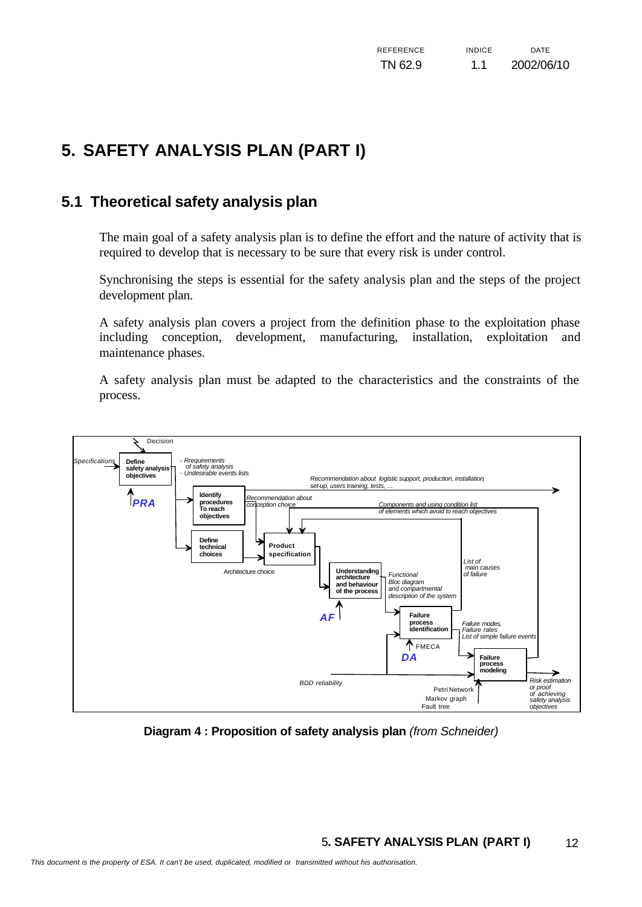# **5. SAFETY ANALYSIS PLAN (PART I)**

# **5.1 Theoretical safety analysis plan**

The main goal of a safety analysis plan is to define the effort and the nature of activity that is required to develop that is necessary to be sure that every risk is under control.

Synchronising the steps is essential for the safety analysis plan and the steps of the project development plan.

A safety analysis plan covers a project from the definition phase to the exploitation phase including conception, development, manufacturing, installation, exploitation and maintenance phases.

A safety analysis plan must be adapted to the characteristics and the constraints of the process.



**Diagram 4 : Proposition of safety analysis plan** *(from Schneider)*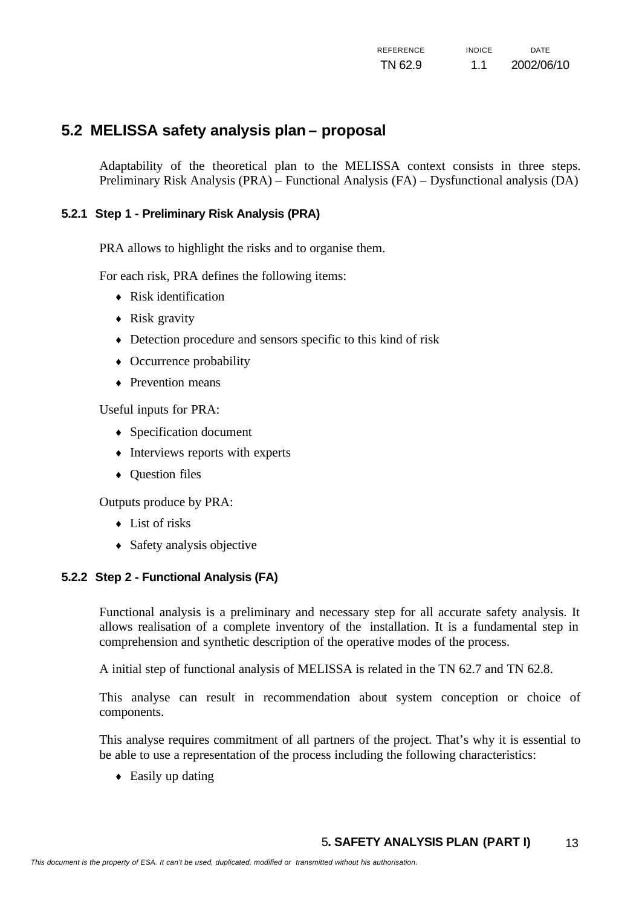# **5.2 MELISSA safety analysis plan – proposal**

Adaptability of the theoretical plan to the MELISSA context consists in three steps. Preliminary Risk Analysis (PRA) – Functional Analysis (FA) – Dysfunctional analysis (DA)

#### **5.2.1 Step 1 - Preliminary Risk Analysis (PRA)**

PRA allows to highlight the risks and to organise them.

For each risk, PRA defines the following items:

- $\leftarrow$  Risk identification
- $\triangle$  Risk gravity
- ♦ Detection procedure and sensors specific to this kind of risk
- Occurrence probability
- $\leftarrow$  Prevention means

Useful inputs for PRA:

- $\leftrightarrow$  Specification document
- Interviews reports with experts
- Question files

Outputs produce by PRA:

- $\overline{\phantom{a}}$  List of risks
- $\triangleleft$  Safety analysis objective

#### **5.2.2 Step 2 - Functional Analysis (FA)**

Functional analysis is a preliminary and necessary step for all accurate safety analysis. It allows realisation of a complete inventory of the installation. It is a fundamental step in comprehension and synthetic description of the operative modes of the process.

A initial step of functional analysis of MELISSA is related in the TN 62.7 and TN 62.8.

This analyse can result in recommendation about system conception or choice of components.

This analyse requires commitment of all partners of the project. That's why it is essential to be able to use a representation of the process including the following characteristics:

 $\triangle$  Easily up dating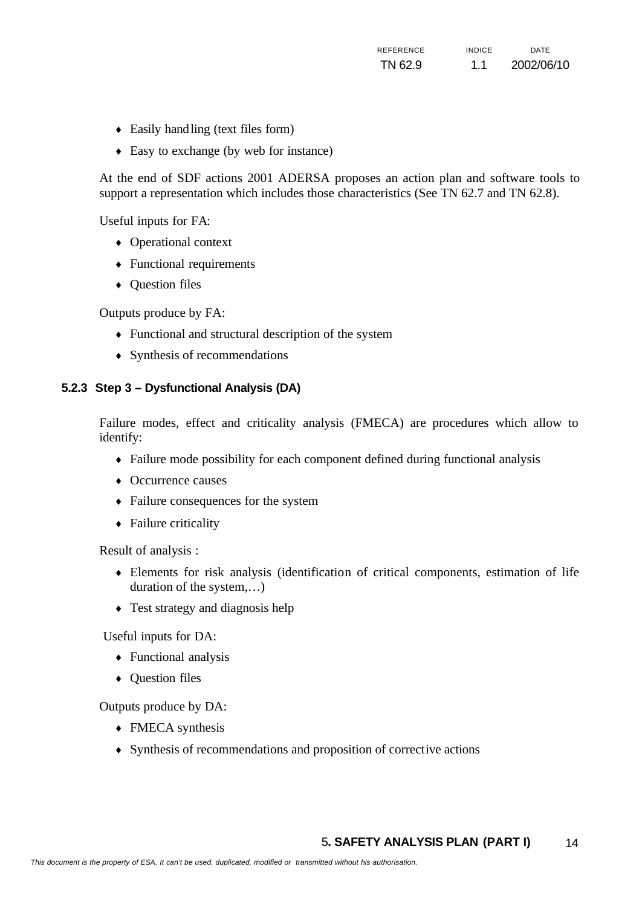- ♦ Easily handling (text files form)
- ♦ Easy to exchange (by web for instance)

At the end of SDF actions 2001 ADERSA proposes an action plan and software tools to support a representation which includes those characteristics (See TN 62.7 and TN 62.8).

Useful inputs for FA:

- ♦ Operational context
- $\leftarrow$  Functional requirements
- ♦ Question files

Outputs produce by FA:

- ♦ Functional and structural description of the system
- $\leftrightarrow$  Synthesis of recommendations

#### **5.2.3 Step 3 – Dysfunctional Analysis (DA)**

Failure modes, effect and criticality analysis (FMECA) are procedures which allow to identify:

- ♦ Failure mode possibility for each component defined during functional analysis
- Occurrence causes
- ♦ Failure consequences for the system
- Failure criticality

Result of analysis :

- ♦ Elements for risk analysis (identification of critical components, estimation of life duration of the system,…)
- Test strategy and diagnosis help

Useful inputs for DA:

- $\leftarrow$  Functional analysis
- Ouestion files

Outputs produce by DA:

- $\leftarrow$  FMECA synthesis
- ♦ Synthesis of recommendations and proposition of corrective actions

#### 5**. SAFETY ANALYSIS PLAN (PART I)** 14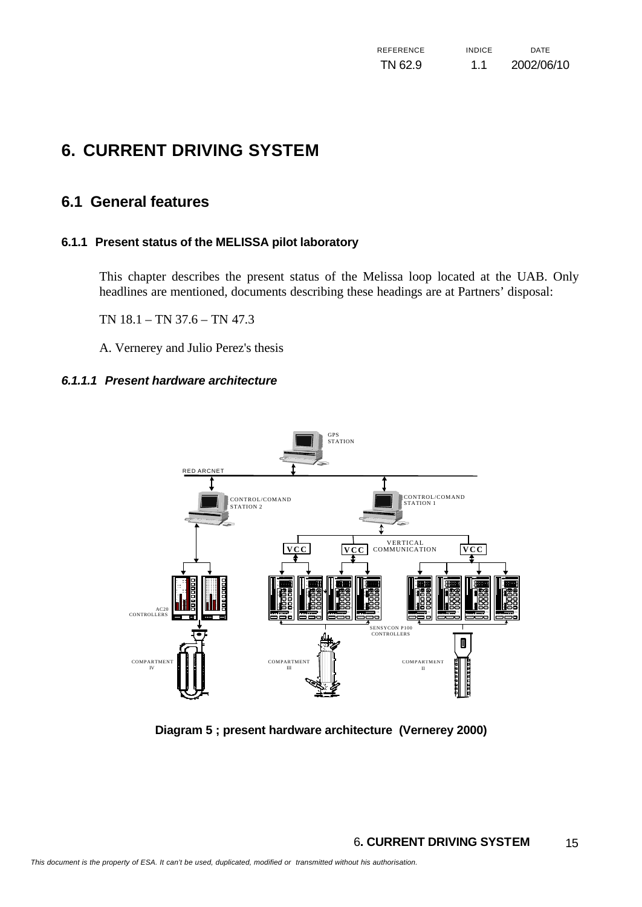# **6. CURRENT DRIVING SYSTEM**

# **6.1 General features**

#### **6.1.1 Present status of the MELISSA pilot laboratory**

This chapter describes the present status of the Melissa loop located at the UAB. Only headlines are mentioned, documents describing these headings are at Partners' disposal:

TN 18.1 – TN 37.6 – TN 47.3

A. Vernerey and Julio Perez's thesis

#### *6.1.1.1 Present hardware architecture*



**Diagram 5 ; present hardware architecture (Vernerey 2000)**

#### 6**. CURRENT DRIVING SYSTEM** 15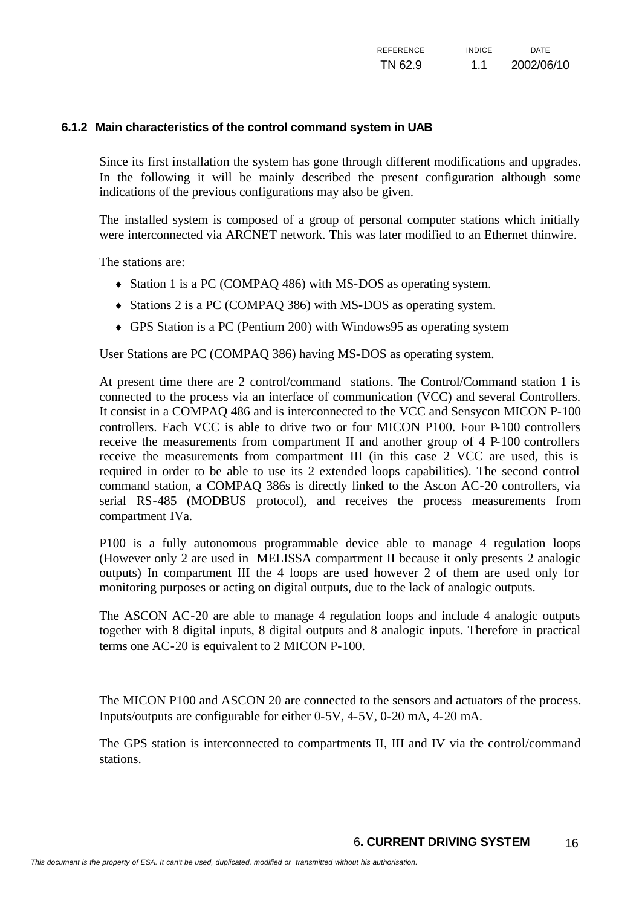#### **6.1.2 Main characteristics of the control command system in UAB**

Since its first installation the system has gone through different modifications and upgrades. In the following it will be mainly described the present configuration although some indications of the previous configurations may also be given.

The installed system is composed of a group of personal computer stations which initially were interconnected via ARCNET network. This was later modified to an Ethernet thinwire.

The stations are:

- ♦ Station 1 is a PC (COMPAQ 486) with MS-DOS as operating system.
- ♦ Stations 2 is a PC (COMPAQ 386) with MS-DOS as operating system.
- ♦ GPS Station is a PC (Pentium 200) with Windows95 as operating system

User Stations are PC (COMPAQ 386) having MS-DOS as operating system.

At present time there are 2 control/command stations. The Control/Command station 1 is connected to the process via an interface of communication (VCC) and several Controllers. It consist in a COMPAQ 486 and is interconnected to the VCC and Sensycon MICON P-100 controllers. Each VCC is able to drive two or four MICON P100. Four P-100 controllers receive the measurements from compartment II and another group of 4 P-100 controllers receive the measurements from compartment III (in this case 2 VCC are used, this is required in order to be able to use its 2 extended loops capabilities). The second control command station, a COMPAQ 386s is directly linked to the Ascon AC-20 controllers, via serial RS-485 (MODBUS protocol), and receives the process measurements from compartment IVa.

P100 is a fully autonomous programmable device able to manage 4 regulation loops (However only 2 are used in MELISSA compartment II because it only presents 2 analogic outputs) In compartment III the 4 loops are used however 2 of them are used only for monitoring purposes or acting on digital outputs, due to the lack of analogic outputs.

The ASCON AC-20 are able to manage 4 regulation loops and include 4 analogic outputs together with 8 digital inputs, 8 digital outputs and 8 analogic inputs. Therefore in practical terms one AC-20 is equivalent to 2 MICON P-100.

The MICON P100 and ASCON 20 are connected to the sensors and actuators of the process. Inputs/outputs are configurable for either 0-5V, 4-5V, 0-20 mA, 4-20 mA.

The GPS station is interconnected to compartments II, III and IV via the control/command stations.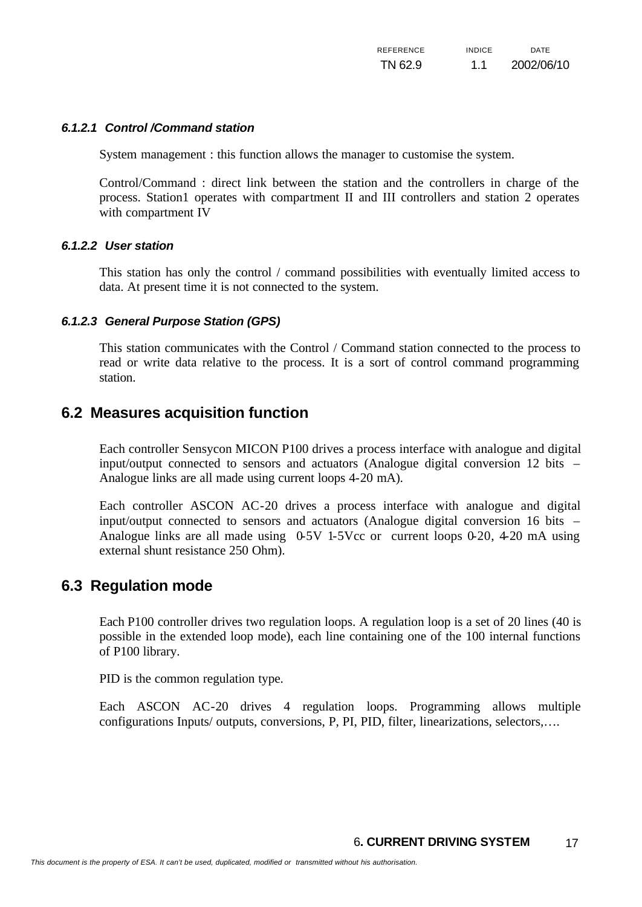#### *6.1.2.1 Control /Command station*

System management : this function allows the manager to customise the system.

Control/Command : direct link between the station and the controllers in charge of the process. Station1 operates with compartment II and III controllers and station 2 operates with compartment IV

#### *6.1.2.2 User station*

This station has only the control / command possibilities with eventually limited access to data. At present time it is not connected to the system.

#### *6.1.2.3 General Purpose Station (GPS)*

This station communicates with the Control / Command station connected to the process to read or write data relative to the process. It is a sort of control command programming station.

### **6.2 Measures acquisition function**

Each controller Sensycon MICON P100 drives a process interface with analogue and digital input/output connected to sensors and actuators (Analogue digital conversion 12 bits – Analogue links are all made using current loops 4-20 mA).

Each controller ASCON AC-20 drives a process interface with analogue and digital input/output connected to sensors and actuators (Analogue digital conversion 16 bits – Analogue links are all made using 0-5V 1-5Vcc or current loops 0-20, 4-20 mA using external shunt resistance 250 Ohm).

### **6.3 Regulation mode**

Each P100 controller drives two regulation loops. A regulation loop is a set of 20 lines (40 is possible in the extended loop mode), each line containing one of the 100 internal functions of P100 library.

PID is the common regulation type.

Each ASCON AC-20 drives 4 regulation loops. Programming allows multiple configurations Inputs/ outputs, conversions, P, PI, PID, filter, linearizations, selectors,….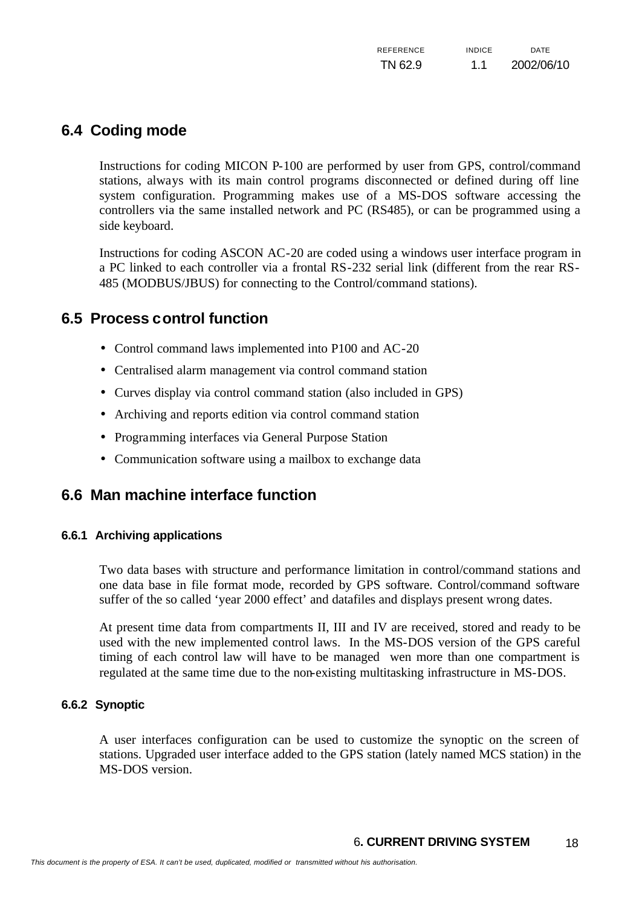# **6.4 Coding mode**

Instructions for coding MICON P-100 are performed by user from GPS, control/command stations, always with its main control programs disconnected or defined during off line system configuration. Programming makes use of a MS-DOS software accessing the controllers via the same installed network and PC (RS485), or can be programmed using a side keyboard.

Instructions for coding ASCON AC-20 are coded using a windows user interface program in a PC linked to each controller via a frontal RS-232 serial link (different from the rear RS-485 (MODBUS/JBUS) for connecting to the Control/command stations).

# **6.5 Process control function**

- Control command laws implemented into P100 and AC-20
- Centralised alarm management via control command station
- Curves display via control command station (also included in GPS)
- Archiving and reports edition via control command station
- Programming interfaces via General Purpose Station
- Communication software using a mailbox to exchange data

# **6.6 Man machine interface function**

#### **6.6.1 Archiving applications**

Two data bases with structure and performance limitation in control/command stations and one data base in file format mode, recorded by GPS software. Control/command software suffer of the so called 'year 2000 effect' and datafiles and displays present wrong dates.

At present time data from compartments II, III and IV are received, stored and ready to be used with the new implemented control laws. In the MS-DOS version of the GPS careful timing of each control law will have to be managed wen more than one compartment is regulated at the same time due to the non-existing multitasking infrastructure in MS-DOS.

#### **6.6.2 Synoptic**

A user interfaces configuration can be used to customize the synoptic on the screen of stations. Upgraded user interface added to the GPS station (lately named MCS station) in the MS-DOS version.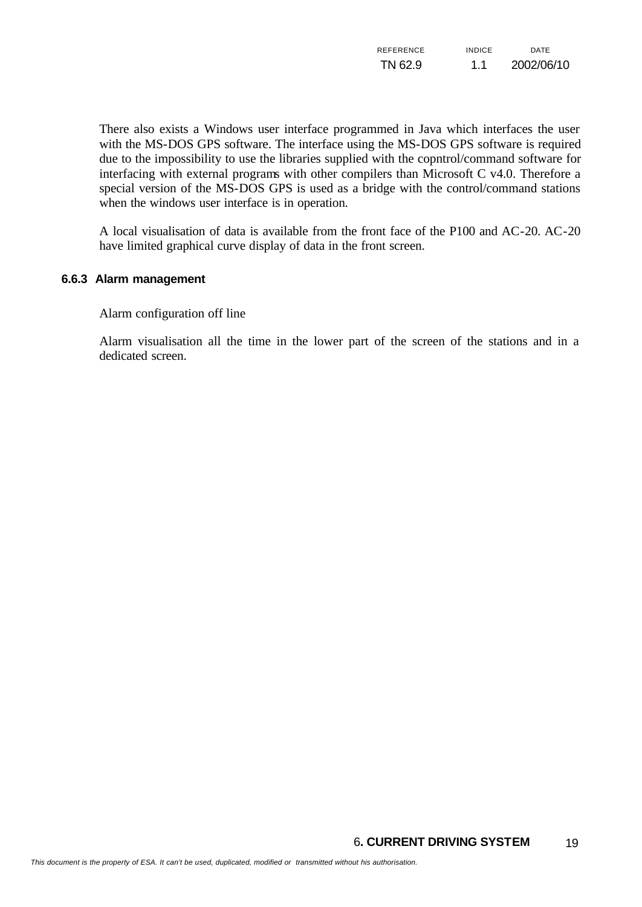| REFERENCE | <b>INDICE</b> | <b>DATF</b> |
|-----------|---------------|-------------|
| TN 62.9   | 1.1           | 2002/06/10  |

There also exists a Windows user interface programmed in Java which interfaces the user with the MS-DOS GPS software. The interface using the MS-DOS GPS software is required due to the impossibility to use the libraries supplied with the copntrol/command software for interfacing with external programs with other compilers than Microsoft C v4.0. Therefore a special version of the MS-DOS GPS is used as a bridge with the control/command stations when the windows user interface is in operation.

A local visualisation of data is available from the front face of the P100 and AC-20. AC-20 have limited graphical curve display of data in the front screen.

#### **6.6.3 Alarm management**

Alarm configuration off line

Alarm visualisation all the time in the lower part of the screen of the stations and in a dedicated screen.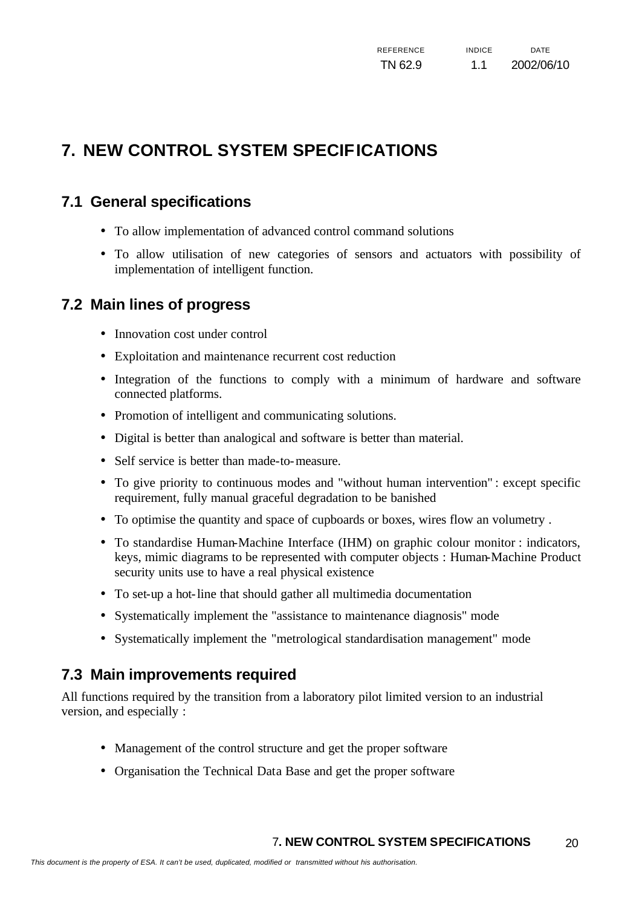# **7. NEW CONTROL SYSTEM SPECIFICATIONS**

# **7.1 General specifications**

- To allow implementation of advanced control command solutions
- To allow utilisation of new categories of sensors and actuators with possibility of implementation of intelligent function.

# **7.2 Main lines of progress**

- Innovation cost under control
- Exploitation and maintenance recurrent cost reduction
- Integration of the functions to comply with a minimum of hardware and software connected platforms.
- Promotion of intelligent and communicating solutions.
- Digital is better than analogical and software is better than material.
- Self service is better than made-to-measure.
- To give priority to continuous modes and "without human intervention" : except specific requirement, fully manual graceful degradation to be banished
- To optimise the quantity and space of cupboards or boxes, wires flow an volumetry .
- To standardise Human-Machine Interface (IHM) on graphic colour monitor : indicators, keys, mimic diagrams to be represented with computer objects : Human-Machine Product security units use to have a real physical existence
- To set-up a hot-line that should gather all multimedia documentation
- Systematically implement the "assistance to maintenance diagnosis" mode
- Systematically implement the "metrological standardisation management" mode

# **7.3 Main improvements required**

All functions required by the transition from a laboratory pilot limited version to an industrial version, and especially :

- Management of the control structure and get the proper software
- Organisation the Technical Data Base and get the proper software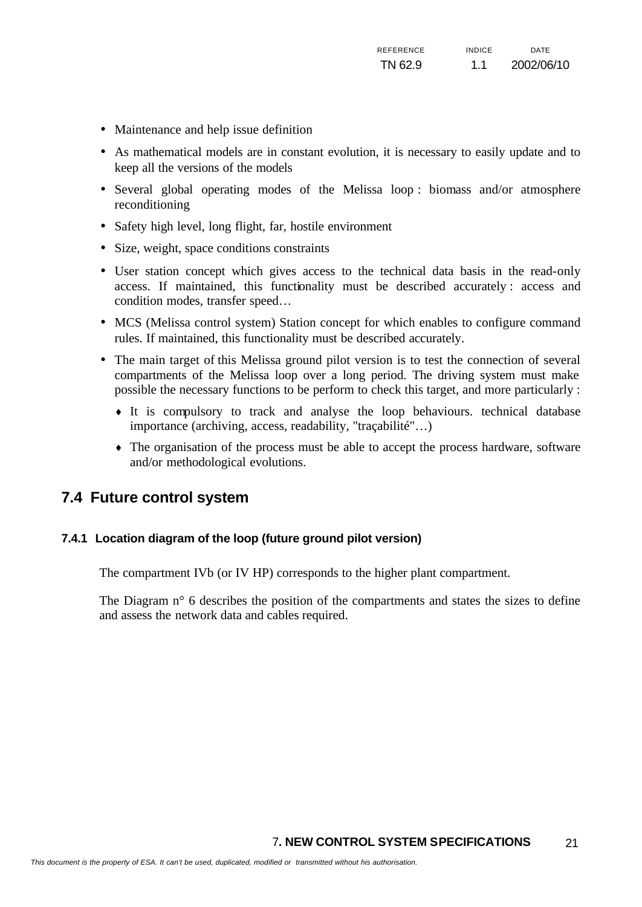- Maintenance and help issue definition
- As mathematical models are in constant evolution, it is necessary to easily update and to keep all the versions of the models
- Several global operating modes of the Melissa loop : biomass and/or atmosphere reconditioning
- Safety high level, long flight, far, hostile environment
- Size, weight, space conditions constraints
- User station concept which gives access to the technical data basis in the read-only access. If maintained, this functionality must be described accurately : access and condition modes, transfer speed…
- MCS (Melissa control system) Station concept for which enables to configure command rules. If maintained, this functionality must be described accurately.
- The main target of this Melissa ground pilot version is to test the connection of several compartments of the Melissa loop over a long period. The driving system must make possible the necessary functions to be perform to check this target, and more particularly :
	- ♦ It is compulsory to track and analyse the loop behaviours. technical database importance (archiving, access, readability, "traçabilité"…)
	- The organisation of the process must be able to accept the process hardware, software and/or methodological evolutions.

### **7.4 Future control system**

#### **7.4.1 Location diagram of the loop (future ground pilot version)**

The compartment IVb (or IV HP) corresponds to the higher plant compartment.

The Diagram n° 6 describes the position of the compartments and states the sizes to define and assess the network data and cables required.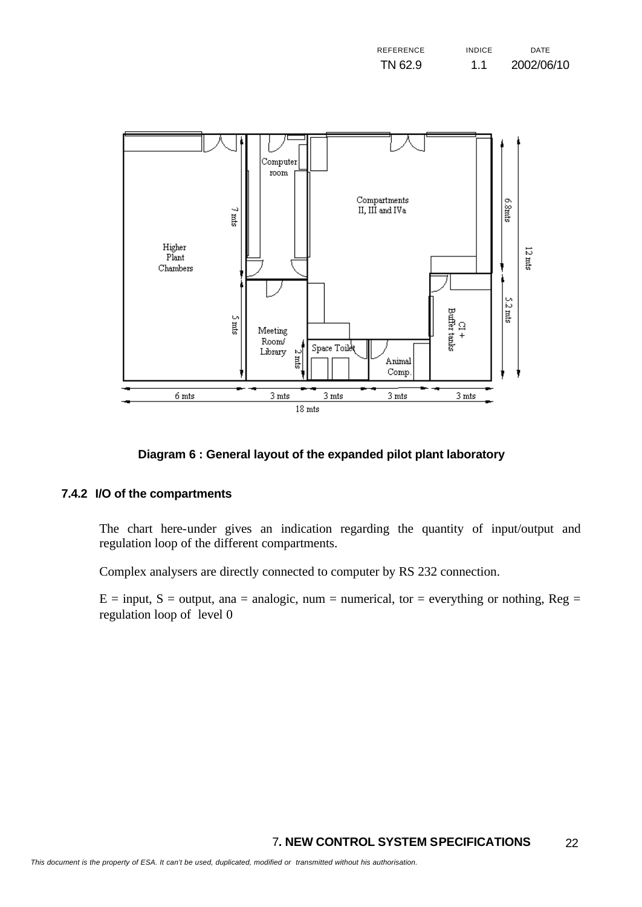| <b>REFERENCE</b> | <b>INDICF</b> | DATE       |
|------------------|---------------|------------|
| TN 62.9          | 1.1           | 2002/06/10 |



#### **Diagram 6 : General layout of the expanded pilot plant laboratory**

#### **7.4.2 I/O of the compartments**

The chart here-under gives an indication regarding the quantity of input/output and regulation loop of the different compartments.

Complex analysers are directly connected to computer by RS 232 connection.

 $E = input$ ,  $S = output$ , ana = analogic, num = numerical, tor = everything or nothing, Reg = regulation loop of level 0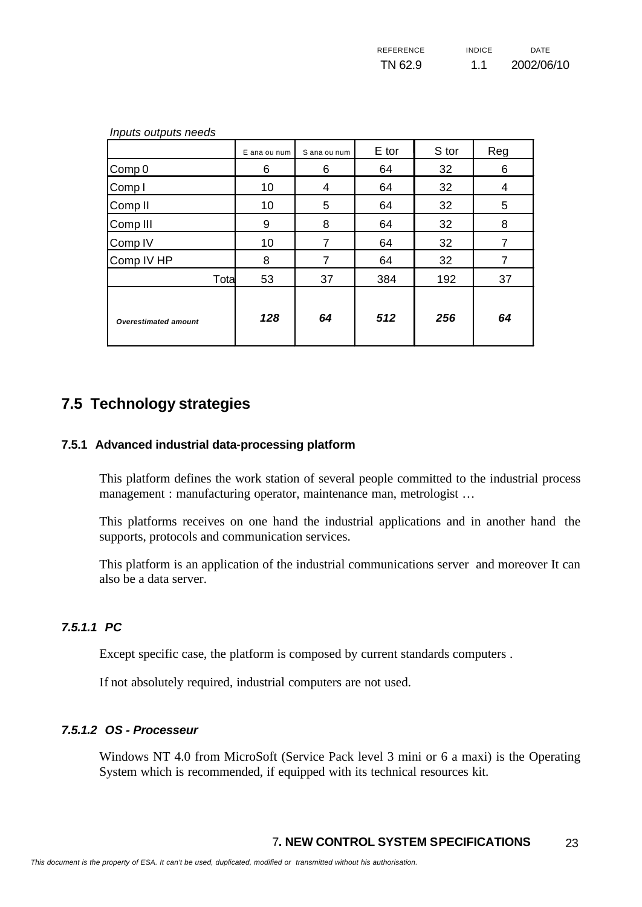| REFERENCE | <b>INDICF</b> | DATE       |
|-----------|---------------|------------|
| TN 62.9   | 1.1           | 2002/06/10 |

| Inputs outputs needs        |              |              |       |       |     |
|-----------------------------|--------------|--------------|-------|-------|-----|
|                             | E ana ou num | S ana ou num | E tor | S tor | Reg |
| Comp 0                      | 6            | 6            | 64    | 32    | 6   |
| Comp I                      | 10           | 4            | 64    | 32    | 4   |
| Comp <sub>II</sub>          | 10           | 5            | 64    | 32    | 5   |
| Comp <sub>III</sub>         | 9            | 8            | 64    | 32    | 8   |
| Comp <sub>IV</sub>          | 10           | 7            | 64    | 32    | 7   |
| Comp IV HP                  | 8            | 7            | 64    | 32    | 7   |
| Tota                        | 53           | 37           | 384   | 192   | 37  |
| <b>Overestimated amount</b> | 128          | 64           | 512   | 256   | 64  |

# **7.5 Technology strategies**

#### **7.5.1 Advanced industrial data-processing platform**

This platform defines the work station of several people committed to the industrial process management : manufacturing operator, maintenance man, metrologist …

This platforms receives on one hand the industrial applications and in another hand the supports, protocols and communication services.

This platform is an application of the industrial communications server and moreover It can also be a data server.

#### *7.5.1.1 PC*

Except specific case, the platform is composed by current standards computers .

If not absolutely required, industrial computers are not used.

#### *7.5.1.2 OS - Processeur*

Windows NT 4.0 from MicroSoft (Service Pack level 3 mini or 6 a maxi) is the Operating System which is recommended, if equipped with its technical resources kit.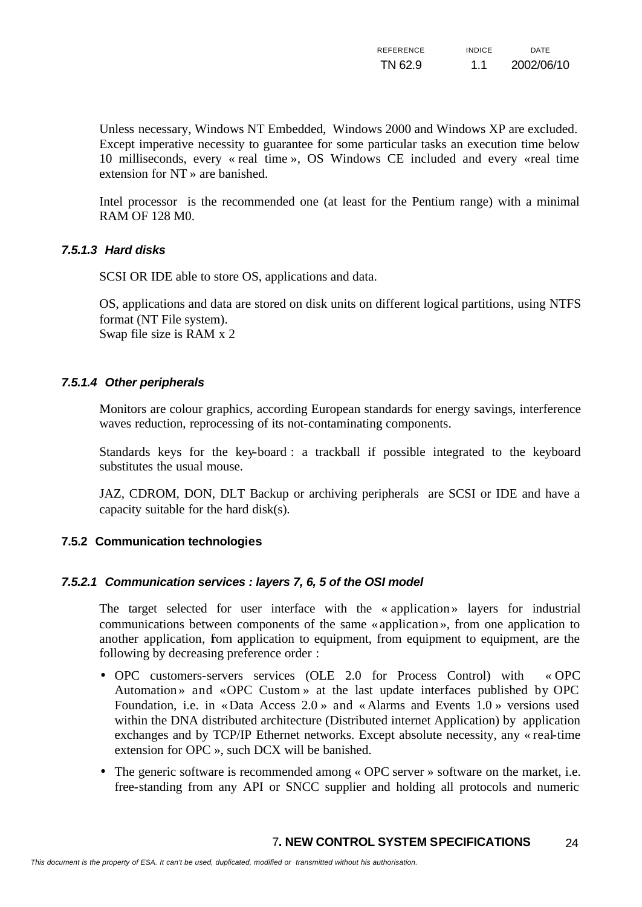| <b>REFERENCE</b> | <b>INDICF</b> | <b>DATE</b> |
|------------------|---------------|-------------|
| TN 62.9          | 1.1           | 2002/06/10  |

Unless necessary, Windows NT Embedded, Windows 2000 and Windows XP are excluded. Except imperative necessity to guarantee for some particular tasks an execution time below 10 milliseconds, every « real time », OS Windows CE included and every «real time extension for NT » are banished.

Intel processor is the recommended one (at least for the Pentium range) with a minimal RAM OF 128 M0.

#### *7.5.1.3 Hard disks*

SCSI OR IDE able to store OS, applications and data.

OS, applications and data are stored on disk units on different logical partitions, using NTFS format (NT File system). Swap file size is RAM x 2

#### *7.5.1.4 Other peripherals*

Monitors are colour graphics, according European standards for energy savings, interference waves reduction, reprocessing of its not-contaminating components.

Standards keys for the key-board : a trackball if possible integrated to the keyboard substitutes the usual mouse.

JAZ, CDROM, DON, DLT Backup or archiving peripherals are SCSI or IDE and have a capacity suitable for the hard disk(s).

#### **7.5.2 Communication technologies**

#### *7.5.2.1 Communication services : layers 7, 6, 5 of the OSI model*

The target selected for user interface with the « application » layers for industrial communications between components of the same «application », from one application to another application, fom application to equipment, from equipment to equipment, are the following by decreasing preference order :

- OPC customers-servers services (OLE 2.0 for Process Control) with « OPC Automation » and «OPC Custom » at the last update interfaces published by OPC Foundation, i.e. in «Data Access 2.0 » and « Alarms and Events 1.0 » versions used within the DNA distributed architecture (Distributed internet Application) by application exchanges and by TCP/IP Ethernet networks. Except absolute necessity, any « real-time extension for OPC », such DCX will be banished.
- The generic software is recommended among « OPC server » software on the market, i.e. free-standing from any API or SNCC supplier and holding all protocols and numeric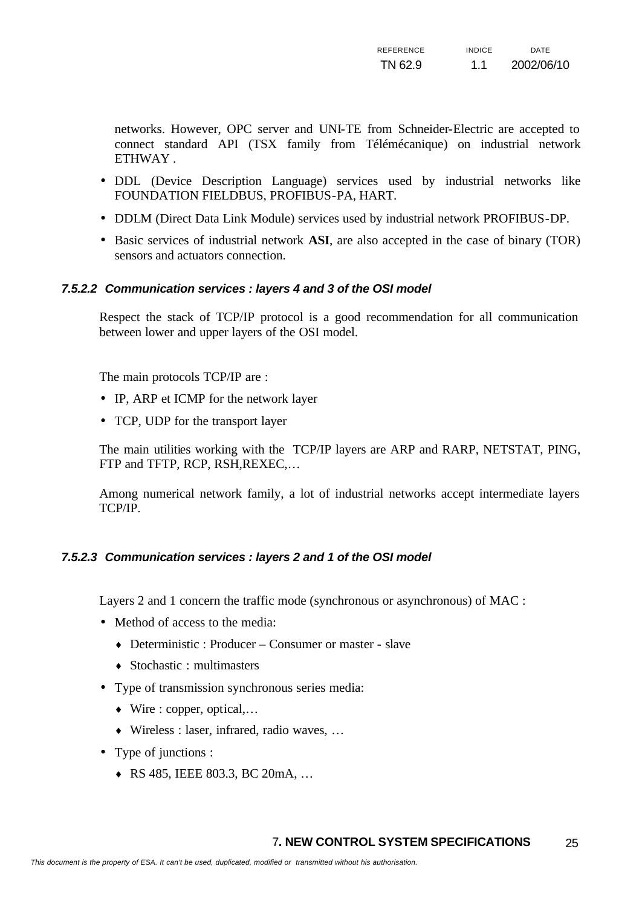networks. However, OPC server and UNI-TE from Schneider-Electric are accepted to connect standard API (TSX family from Télémécanique) on industrial network ETHWAY .

- DDL (Device Description Language) services used by industrial networks like FOUNDATION FIELDBUS, PROFIBUS-PA, HART.
- DDLM (Direct Data Link Module) services used by industrial network PROFIBUS-DP.
- Basic services of industrial network **ASI**, are also accepted in the case of binary (TOR) sensors and actuators connection.

#### *7.5.2.2 Communication services : layers 4 and 3 of the OSI model*

Respect the stack of TCP/IP protocol is a good recommendation for all communication between lower and upper layers of the OSI model.

The main protocols TCP/IP are :

- IP, ARP et ICMP for the network layer
- TCP, UDP for the transport layer

The main utilities working with the TCP/IP layers are ARP and RARP, NETSTAT, PING, FTP and TFTP, RCP, RSH,REXEC,…

Among numerical network family, a lot of industrial networks accept intermediate layers TCP/IP.

#### *7.5.2.3 Communication services : layers 2 and 1 of the OSI model*

Layers 2 and 1 concern the traffic mode (synchronous or asynchronous) of MAC :

- Method of access to the media:
	- $\triangle$  Deterministic : Producer Consumer or master slave
	- ♦ Stochastic : multimasters
- Type of transmission synchronous series media:
	- $\bullet$  Wire : copper, optical,...
	- ♦ Wireless : laser, infrared, radio waves, …
- Type of junctions :
	- ♦ RS 485, IEEE 803.3, BC 20mA, …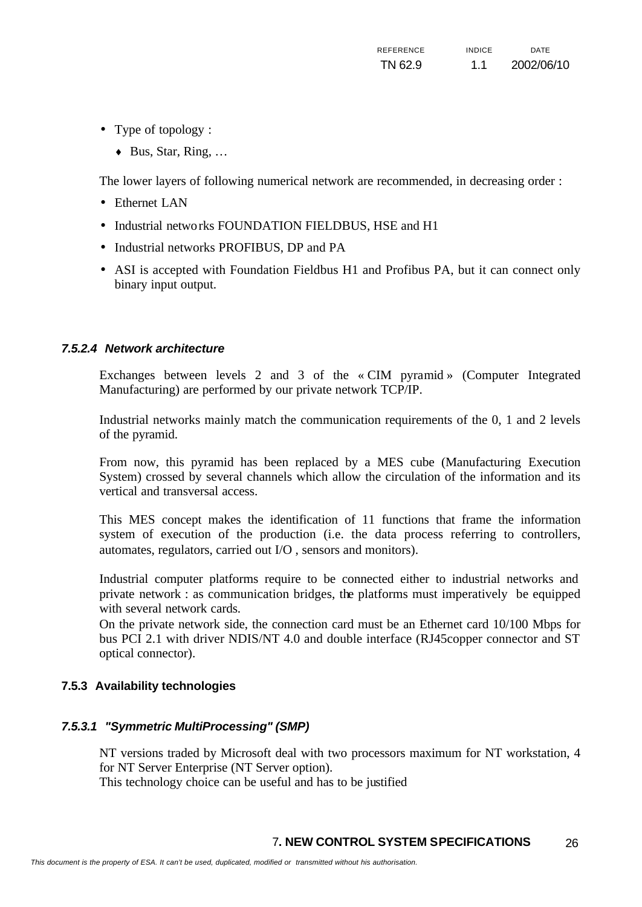- Type of topology :
	- $\triangleleft$  Bus, Star, Ring, ...

The lower layers of following numerical network are recommended, in decreasing order :

- Ethernet LAN
- Industrial networks FOUNDATION FIELDBUS, HSE and H1
- Industrial networks PROFIBUS, DP and PA
- ASI is accepted with Foundation Fieldbus H1 and Profibus PA, but it can connect only binary input output.

#### *7.5.2.4 Network architecture*

Exchanges between levels 2 and 3 of the « CIM pyramid » (Computer Integrated Manufacturing) are performed by our private network TCP/IP.

Industrial networks mainly match the communication requirements of the 0, 1 and 2 levels of the pyramid.

From now, this pyramid has been replaced by a MES cube (Manufacturing Execution System) crossed by several channels which allow the circulation of the information and its vertical and transversal access.

This MES concept makes the identification of 11 functions that frame the information system of execution of the production (i.e. the data process referring to controllers, automates, regulators, carried out I/O , sensors and monitors).

Industrial computer platforms require to be connected either to industrial networks and private network : as communication bridges, the platforms must imperatively be equipped with several network cards.

On the private network side, the connection card must be an Ethernet card 10/100 Mbps for bus PCI 2.1 with driver NDIS/NT 4.0 and double interface (RJ45copper connector and ST optical connector).

#### **7.5.3 Availability technologies**

#### *7.5.3.1 "Symmetric MultiProcessing" (SMP)*

NT versions traded by Microsoft deal with two processors maximum for NT workstation, 4 for NT Server Enterprise (NT Server option). This technology choice can be useful and has to be justified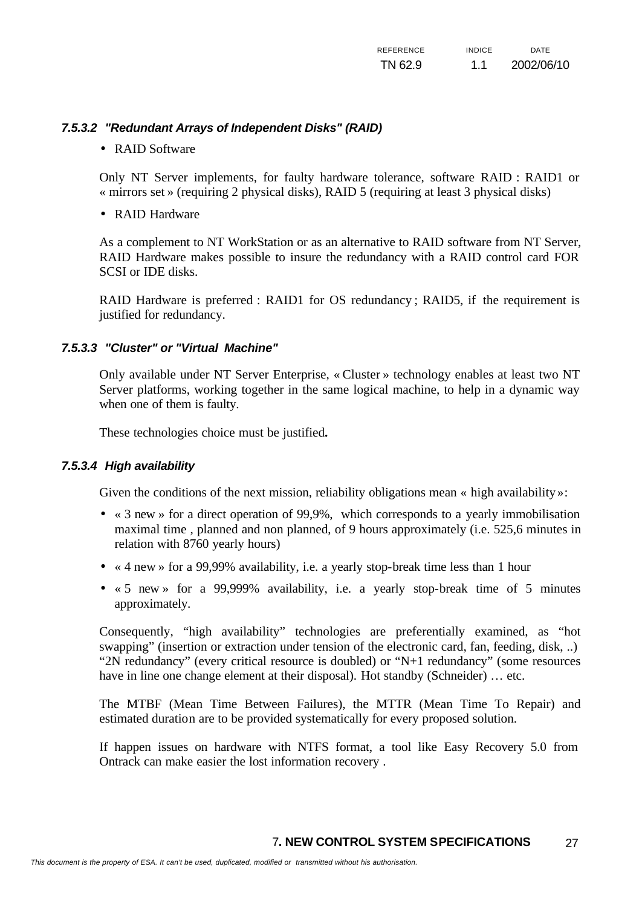#### *7.5.3.2 "Redundant Arrays of Independent Disks" (RAID)*

#### • RAID Software

Only NT Server implements, for faulty hardware tolerance, software RAID : RAID1 or « mirrors set » (requiring 2 physical disks), RAID 5 (requiring at least 3 physical disks)

• RAID Hardware

As a complement to NT WorkStation or as an alternative to RAID software from NT Server, RAID Hardware makes possible to insure the redundancy with a RAID control card FOR SCSI or IDE disks.

RAID Hardware is preferred : RAID1 for OS redundancy ; RAID5, if the requirement is justified for redundancy.

#### *7.5.3.3 "Cluster" or "Virtual Machine"*

Only available under NT Server Enterprise, « Cluster » technology enables at least two NT Server platforms, working together in the same logical machine, to help in a dynamic way when one of them is faulty.

These technologies choice must be justified**.** 

#### *7.5.3.4 High availability*

Given the conditions of the next mission, reliability obligations mean « high availability »:

- « 3 new » for a direct operation of 99,9%, which corresponds to a yearly immobilisation maximal time , planned and non planned, of 9 hours approximately (i.e. 525,6 minutes in relation with 8760 yearly hours)
- « 4 new » for a 99,99% availability, i.e. a yearly stop-break time less than 1 hour
- « 5 new » for a 99,999% availability, i.e. a yearly stop-break time of 5 minutes approximately.

Consequently, "high availability" technologies are preferentially examined, as "hot swapping" (insertion or extraction under tension of the electronic card, fan, feeding, disk, ..) "2N redundancy" (every critical resource is doubled) or "N+1 redundancy" (some resources have in line one change element at their disposal). Hot standby (Schneider) … etc.

The MTBF (Mean Time Between Failures), the MTTR (Mean Time To Repair) and estimated duration are to be provided systematically for every proposed solution.

If happen issues on hardware with NTFS format, a tool like Easy Recovery 5.0 from Ontrack can make easier the lost information recovery .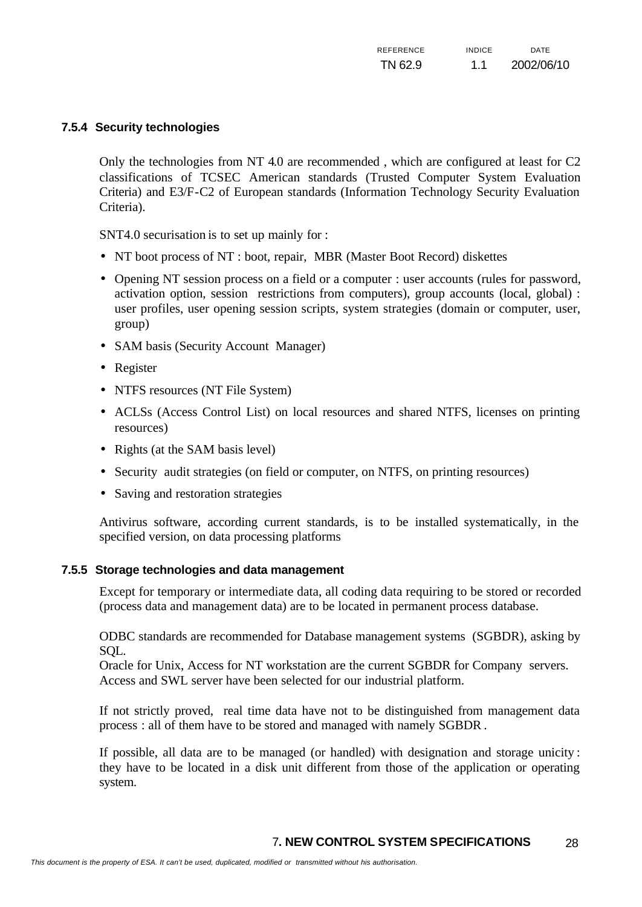#### **7.5.4 Security technologies**

Only the technologies from NT 4.0 are recommended , which are configured at least for C2 classifications of TCSEC American standards (Trusted Computer System Evaluation Criteria) and E3/F-C2 of European standards (Information Technology Security Evaluation Criteria).

SNT4.0 securisation is to set up mainly for :

- NT boot process of NT : boot, repair, MBR (Master Boot Record) diskettes
- Opening NT session process on a field or a computer : user accounts (rules for password, activation option, session restrictions from computers), group accounts (local, global) : user profiles, user opening session scripts, system strategies (domain or computer, user, group)
- SAM basis (Security Account Manager)
- Register
- NTFS resources (NT File System)
- ACLSs (Access Control List) on local resources and shared NTFS, licenses on printing resources)
- Rights (at the SAM basis level)
- Security audit strategies (on field or computer, on NTFS, on printing resources)
- Saving and restoration strategies

Antivirus software, according current standards, is to be installed systematically, in the specified version, on data processing platforms

#### **7.5.5 Storage technologies and data management**

Except for temporary or intermediate data, all coding data requiring to be stored or recorded (process data and management data) are to be located in permanent process database.

ODBC standards are recommended for Database management systems (SGBDR), asking by SQL.

Oracle for Unix, Access for NT workstation are the current SGBDR for Company servers. Access and SWL server have been selected for our industrial platform.

If not strictly proved, real time data have not to be distinguished from management data process : all of them have to be stored and managed with namely SGBDR .

If possible, all data are to be managed (or handled) with designation and storage unicity : they have to be located in a disk unit different from those of the application or operating system.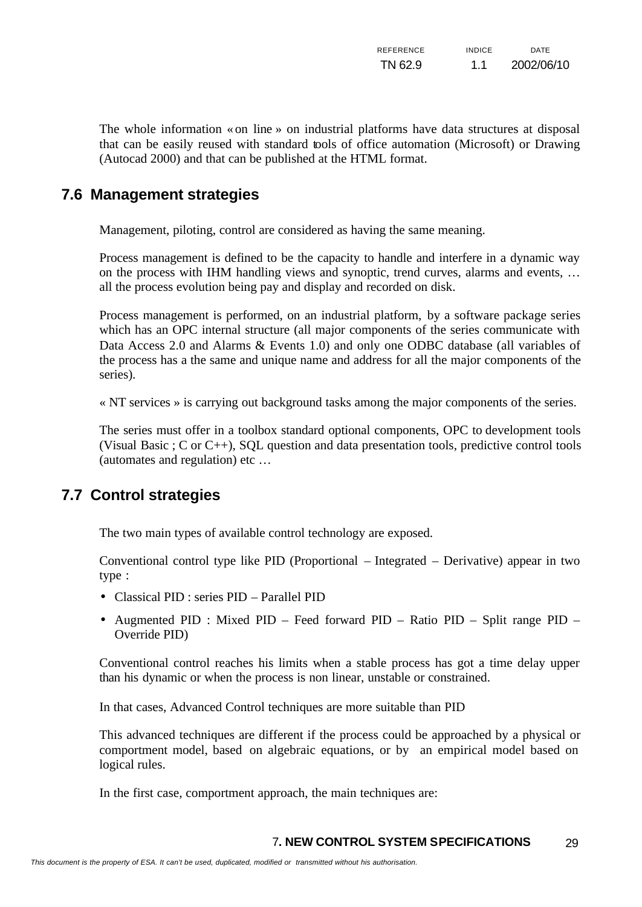| REFERENCE | <b>INDICE</b> | <b>DATE</b> |
|-----------|---------------|-------------|
| TN 62.9   | 1.1           | 2002/06/10  |

The whole information «on line » on industrial platforms have data structures at disposal that can be easily reused with standard tools of office automation (Microsoft) or Drawing (Autocad 2000) and that can be published at the HTML format.

### **7.6 Management strategies**

Management, piloting, control are considered as having the same meaning.

Process management is defined to be the capacity to handle and interfere in a dynamic way on the process with IHM handling views and synoptic, trend curves, alarms and events, … all the process evolution being pay and display and recorded on disk.

Process management is performed, on an industrial platform, by a software package series which has an OPC internal structure (all major components of the series communicate with Data Access 2.0 and Alarms & Events 1.0) and only one ODBC database (all variables of the process has a the same and unique name and address for all the major components of the series).

« NT services » is carrying out background tasks among the major components of the series.

The series must offer in a toolbox standard optional components, OPC to development tools (Visual Basic ; C or C++), SQL question and data presentation tools, predictive control tools (automates and regulation) etc …

### **7.7 Control strategies**

The two main types of available control technology are exposed.

Conventional control type like PID (Proportional – Integrated – Derivative) appear in two type :

- Classical PID : series PID Parallel PID
- Augmented PID : Mixed PID Feed forward PID Ratio PID Split range PID Override PID)

Conventional control reaches his limits when a stable process has got a time delay upper than his dynamic or when the process is non linear, unstable or constrained.

In that cases, Advanced Control techniques are more suitable than PID

This advanced techniques are different if the process could be approached by a physical or comportment model, based on algebraic equations, or by an empirical model based on logical rules.

In the first case, comportment approach, the main techniques are: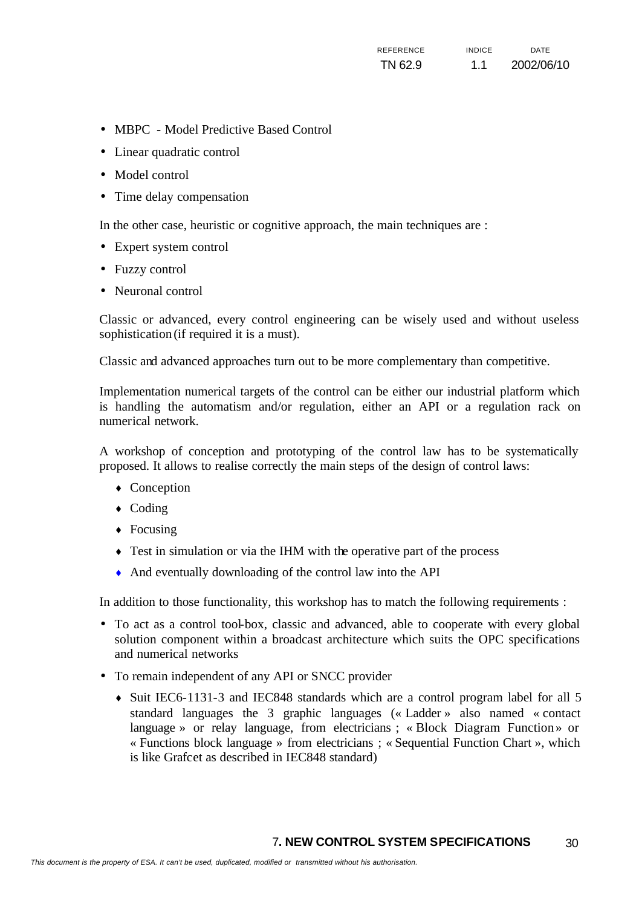- MBPC Model Predictive Based Control
- Linear quadratic control
- Model control
- Time delay compensation

In the other case, heuristic or cognitive approach, the main techniques are :

- Expert system control
- Fuzzy control
- Neuronal control

Classic or advanced, every control engineering can be wisely used and without useless sophistication (if required it is a must).

Classic and advanced approaches turn out to be more complementary than competitive.

Implementation numerical targets of the control can be either our industrial platform which is handling the automatism and/or regulation, either an API or a regulation rack on numerical network.

A workshop of conception and prototyping of the control law has to be systematically proposed. It allows to realise correctly the main steps of the design of control laws:

- Conception
- $\triangleleft$  Coding
- $\leftarrow$  Focusing
- Test in simulation or via the IHM with the operative part of the process
- ♦ And eventually downloading of the control law into the API

In addition to those functionality, this workshop has to match the following requirements :

- To act as a control tool-box, classic and advanced, able to cooperate with every global solution component within a broadcast architecture which suits the OPC specifications and numerical networks
- To remain independent of any API or SNCC provider
	- ♦ Suit IEC6-1131-3 and IEC848 standards which are a control program label for all 5 standard languages the 3 graphic languages (« Ladder » also named « contact language » or relay language, from electricians ; « Block Diagram Function » or « Functions block language » from electricians ; « Sequential Function Chart », which is like Grafcet as described in IEC848 standard)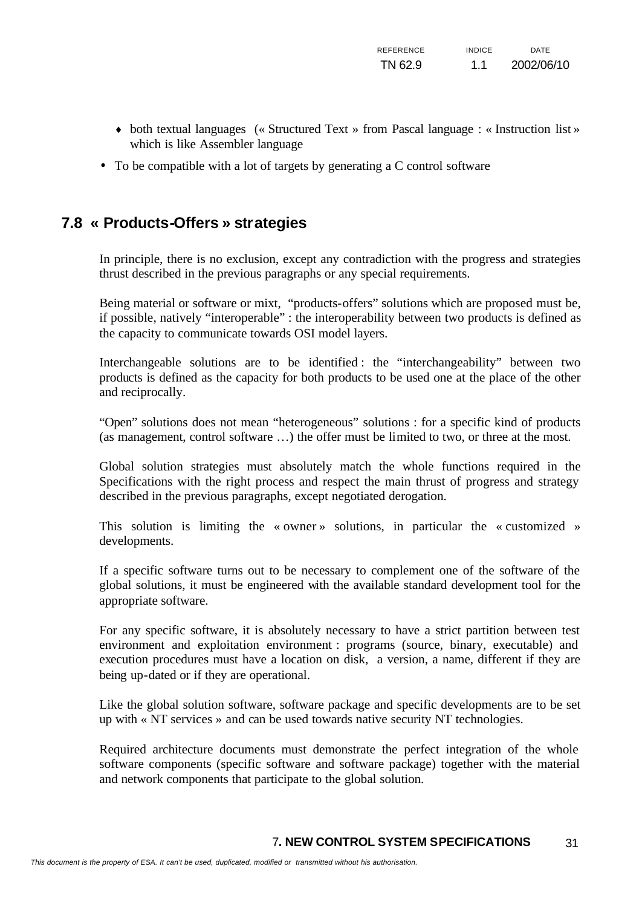- ♦ both textual languages (« Structured Text » from Pascal language : « Instruction list » which is like Assembler language
- To be compatible with a lot of targets by generating a C control software

# **7.8 « Products-Offers » strategies**

In principle, there is no exclusion, except any contradiction with the progress and strategies thrust described in the previous paragraphs or any special requirements.

Being material or software or mixt, "products-offers" solutions which are proposed must be, if possible, natively "interoperable" : the interoperability between two products is defined as the capacity to communicate towards OSI model layers.

Interchangeable solutions are to be identified : the "interchangeability" between two products is defined as the capacity for both products to be used one at the place of the other and reciprocally.

"Open" solutions does not mean "heterogeneous" solutions : for a specific kind of products (as management, control software …) the offer must be limited to two, or three at the most.

Global solution strategies must absolutely match the whole functions required in the Specifications with the right process and respect the main thrust of progress and strategy described in the previous paragraphs, except negotiated derogation.

This solution is limiting the « owner » solutions, in particular the « customized » developments.

If a specific software turns out to be necessary to complement one of the software of the global solutions, it must be engineered with the available standard development tool for the appropriate software.

For any specific software, it is absolutely necessary to have a strict partition between test environment and exploitation environment : programs (source, binary, executable) and execution procedures must have a location on disk, a version, a name, different if they are being up-dated or if they are operational.

Like the global solution software, software package and specific developments are to be set up with « NT services » and can be used towards native security NT technologies.

Required architecture documents must demonstrate the perfect integration of the whole software components (specific software and software package) together with the material and network components that participate to the global solution.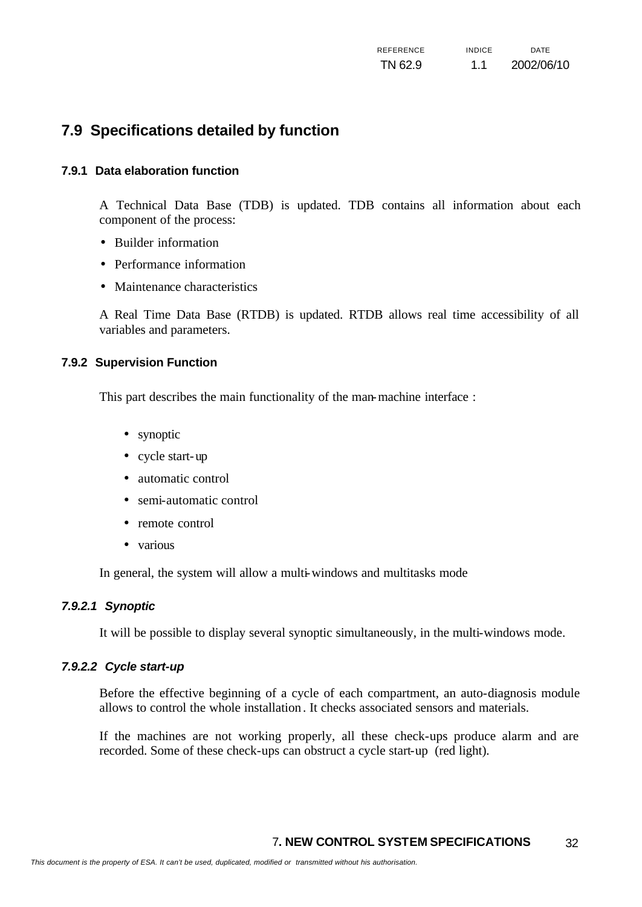# **7.9 Specifications detailed by function**

#### **7.9.1 Data elaboration function**

A Technical Data Base (TDB) is updated. TDB contains all information about each component of the process:

- Builder information
- Performance information
- Maintenance characteristics

A Real Time Data Base (RTDB) is updated. RTDB allows real time accessibility of all variables and parameters.

#### **7.9.2 Supervision Function**

This part describes the main functionality of the man-machine interface :

- synoptic
- cycle start-up
- automatic control
- semi-automatic control
- remote control
- various

In general, the system will allow a multi-windows and multitasks mode

#### *7.9.2.1 Synoptic*

It will be possible to display several synoptic simultaneously, in the multi-windows mode.

#### *7.9.2.2 Cycle start-up*

Before the effective beginning of a cycle of each compartment, an auto-diagnosis module allows to control the whole installation. It checks associated sensors and materials.

If the machines are not working properly, all these check-ups produce alarm and are recorded. Some of these check-ups can obstruct a cycle start-up (red light).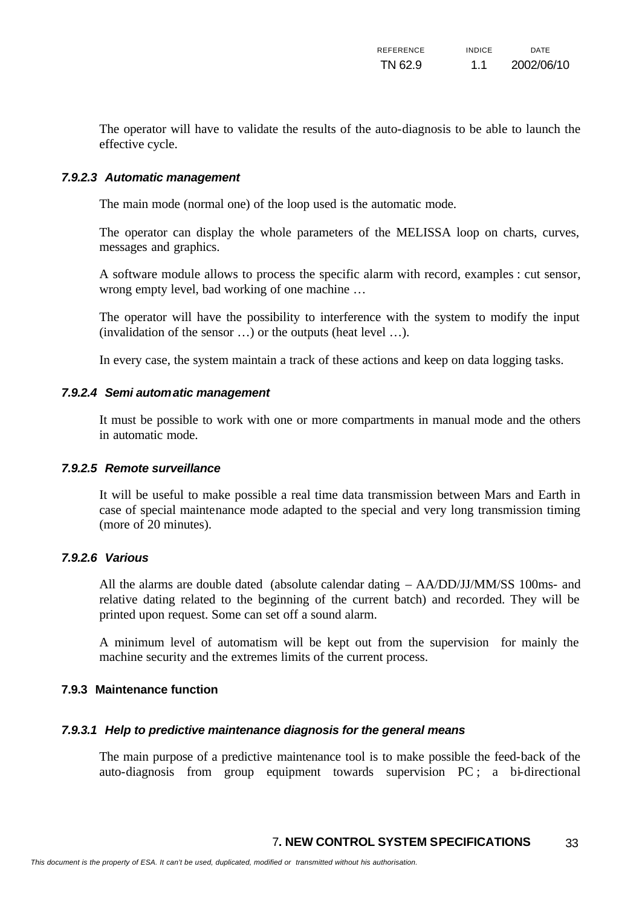The operator will have to validate the results of the auto-diagnosis to be able to launch the effective cycle.

#### *7.9.2.3 Automatic management*

The main mode (normal one) of the loop used is the automatic mode.

The operator can display the whole parameters of the MELISSA loop on charts, curves, messages and graphics.

A software module allows to process the specific alarm with record, examples : cut sensor, wrong empty level, bad working of one machine …

The operator will have the possibility to interference with the system to modify the input (invalidation of the sensor …) or the outputs (heat level …).

In every case, the system maintain a track of these actions and keep on data logging tasks.

#### *7.9.2.4 Semi automatic management*

It must be possible to work with one or more compartments in manual mode and the others in automatic mode.

#### *7.9.2.5 Remote surveillance*

It will be useful to make possible a real time data transmission between Mars and Earth in case of special maintenance mode adapted to the special and very long transmission timing (more of 20 minutes).

#### *7.9.2.6 Various*

All the alarms are double dated (absolute calendar dating – AA/DD/JJ/MM/SS 100ms- and relative dating related to the beginning of the current batch) and recorded. They will be printed upon request. Some can set off a sound alarm.

A minimum level of automatism will be kept out from the supervision for mainly the machine security and the extremes limits of the current process.

#### **7.9.3 Maintenance function**

#### *7.9.3.1 Help to predictive maintenance diagnosis for the general means*

The main purpose of a predictive maintenance tool is to make possible the feed-back of the auto-diagnosis from group equipment towards supervision PC ; a bi-directional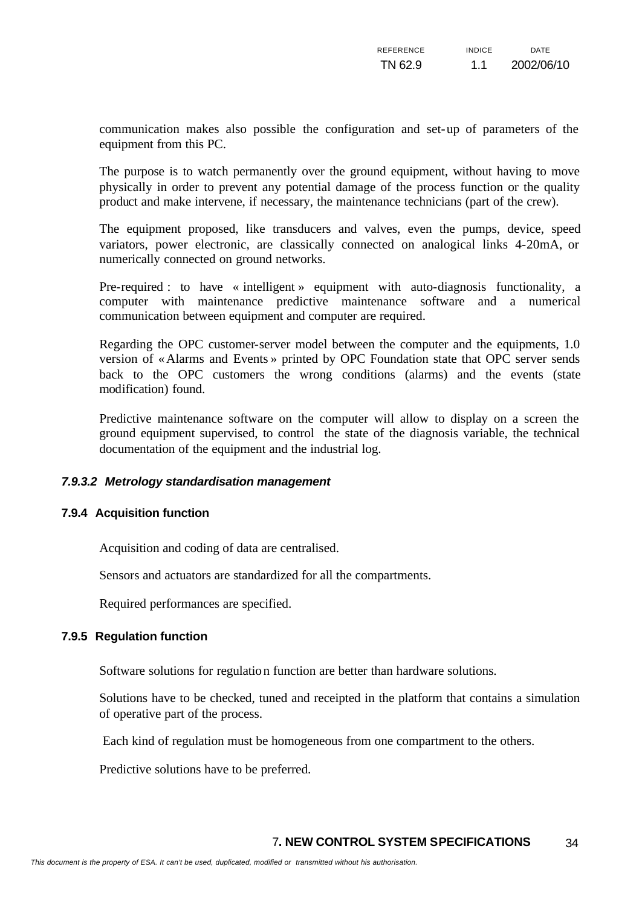communication makes also possible the configuration and set-up of parameters of the equipment from this PC.

The purpose is to watch permanently over the ground equipment, without having to move physically in order to prevent any potential damage of the process function or the quality product and make intervene, if necessary, the maintenance technicians (part of the crew).

The equipment proposed, like transducers and valves, even the pumps, device, speed variators, power electronic, are classically connected on analogical links 4-20mA, or numerically connected on ground networks.

Pre-required : to have « intelligent » equipment with auto-diagnosis functionality, a computer with maintenance predictive maintenance software and a numerical communication between equipment and computer are required.

Regarding the OPC customer-server model between the computer and the equipments, 1.0 version of «Alarms and Events » printed by OPC Foundation state that OPC server sends back to the OPC customers the wrong conditions (alarms) and the events (state modification) found.

Predictive maintenance software on the computer will allow to display on a screen the ground equipment supervised, to control the state of the diagnosis variable, the technical documentation of the equipment and the industrial log.

#### *7.9.3.2 Metrology standardisation management*

#### **7.9.4 Acquisition function**

Acquisition and coding of data are centralised.

Sensors and actuators are standardized for all the compartments.

Required performances are specified.

#### **7.9.5 Regulation function**

Software solutions for regulation function are better than hardware solutions.

Solutions have to be checked, tuned and receipted in the platform that contains a simulation of operative part of the process.

Each kind of regulation must be homogeneous from one compartment to the others.

Predictive solutions have to be preferred.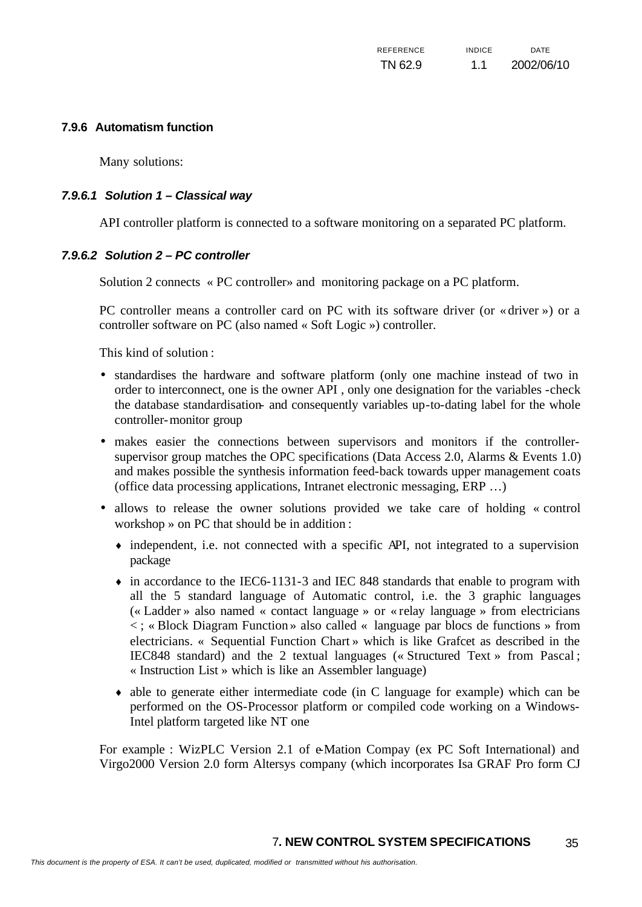#### **7.9.6 Automatism function**

Many solutions:

#### *7.9.6.1 Solution 1 – Classical way*

API controller platform is connected to a software monitoring on a separated PC platform.

#### *7.9.6.2 Solution 2 – PC controller*

Solution 2 connects « PC controller» and monitoring package on a PC platform.

PC controller means a controller card on PC with its software driver (or « driver ») or a controller software on PC (also named « Soft Logic ») controller.

This kind of solution :

- standardises the hardware and software platform (only one machine instead of two in order to interconnect, one is the owner API , only one designation for the variables -check the database standardisation- and consequently variables up-to-dating label for the whole controller-monitor group
- makes easier the connections between supervisors and monitors if the controllersupervisor group matches the OPC specifications (Data Access 2.0, Alarms & Events 1.0) and makes possible the synthesis information feed-back towards upper management coats (office data processing applications, Intranet electronic messaging, ERP …)
- allows to release the owner solutions provided we take care of holding « control workshop » on PC that should be in addition :
	- ♦ independent, i.e. not connected with a specific API, not integrated to a supervision package
	- $\bullet$  in accordance to the IEC6-1131-3 and IEC 848 standards that enable to program with all the 5 standard language of Automatic control, i.e. the 3 graphic languages (« Ladder » also named « contact language » or « relay language » from electricians < ; « Block Diagram Function » also called « language par blocs de functions » from electricians. « Sequential Function Chart » which is like Grafcet as described in the IEC848 standard) and the 2 textual languages (« Structured Text » from Pascal ; « Instruction List » which is like an Assembler language)
	- $\bullet$  able to generate either intermediate code (in C language for example) which can be performed on the OS-Processor platform or compiled code working on a Windows-Intel platform targeted like NT one

For example : WizPLC Version 2.1 of e-Mation Compay (ex PC Soft International) and Virgo2000 Version 2.0 form Altersys company (which incorporates Isa GRAF Pro form CJ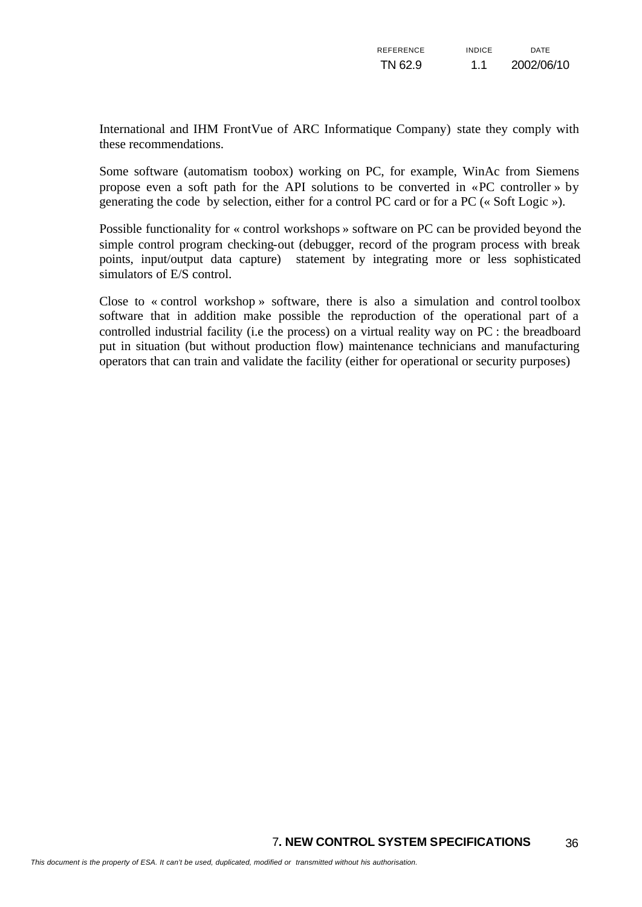International and IHM FrontVue of ARC Informatique Company) state they comply with these recommendations.

Some software (automatism toobox) working on PC, for example, WinAc from Siemens propose even a soft path for the API solutions to be converted in «PC controller » by generating the code by selection, either for a control PC card or for a PC (« Soft Logic »).

Possible functionality for « control workshops » software on PC can be provided beyond the simple control program checking-out (debugger, record of the program process with break points, input/output data capture) statement by integrating more or less sophisticated simulators of E/S control.

Close to « control workshop » software, there is also a simulation and control toolbox software that in addition make possible the reproduction of the operational part of a controlled industrial facility (i.e the process) on a virtual reality way on PC : the breadboard put in situation (but without production flow) maintenance technicians and manufacturing operators that can train and validate the facility (either for operational or security purposes)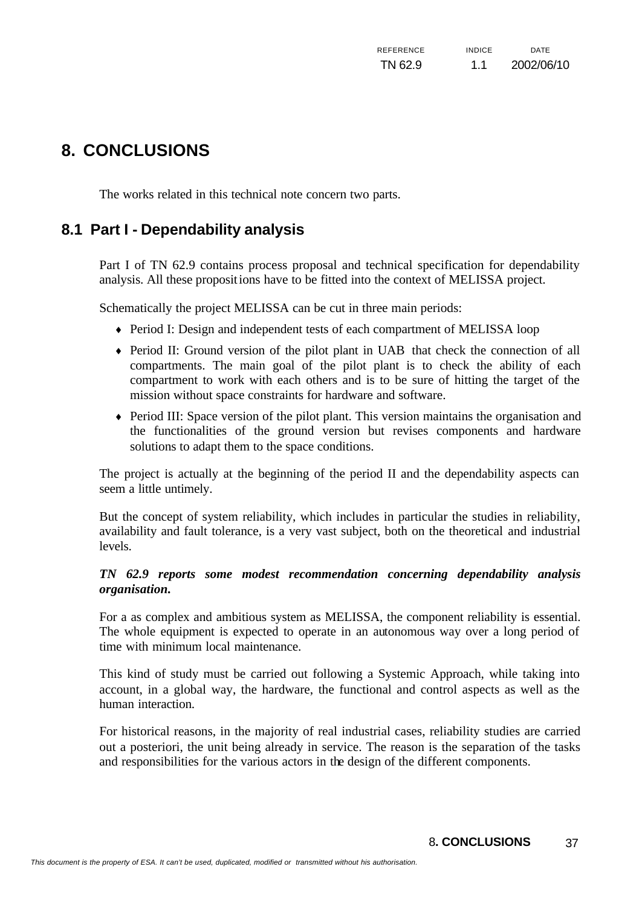# **8. CONCLUSIONS**

The works related in this technical note concern two parts.

# **8.1 Part I - Dependability analysis**

Part I of TN 62.9 contains process proposal and technical specification for dependability analysis. All these propositions have to be fitted into the context of MELISSA project.

Schematically the project MELISSA can be cut in three main periods:

- ♦ Period I: Design and independent tests of each compartment of MELISSA loop
- ♦ Period II: Ground version of the pilot plant in UAB that check the connection of all compartments. The main goal of the pilot plant is to check the ability of each compartment to work with each others and is to be sure of hitting the target of the mission without space constraints for hardware and software.
- ♦ Period III: Space version of the pilot plant. This version maintains the organisation and the functionalities of the ground version but revises components and hardware solutions to adapt them to the space conditions.

The project is actually at the beginning of the period II and the dependability aspects can seem a little untimely.

But the concept of system reliability, which includes in particular the studies in reliability, availability and fault tolerance, is a very vast subject, both on the theoretical and industrial levels.

#### *TN 62.9 reports some modest recommendation concerning dependability analysis organisation.*

For a as complex and ambitious system as MELISSA, the component reliability is essential. The whole equipment is expected to operate in an autonomous way over a long period of time with minimum local maintenance.

This kind of study must be carried out following a Systemic Approach, while taking into account, in a global way, the hardware, the functional and control aspects as well as the human interaction.

For historical reasons, in the majority of real industrial cases, reliability studies are carried out a posteriori, the unit being already in service. The reason is the separation of the tasks and responsibilities for the various actors in the design of the different components.